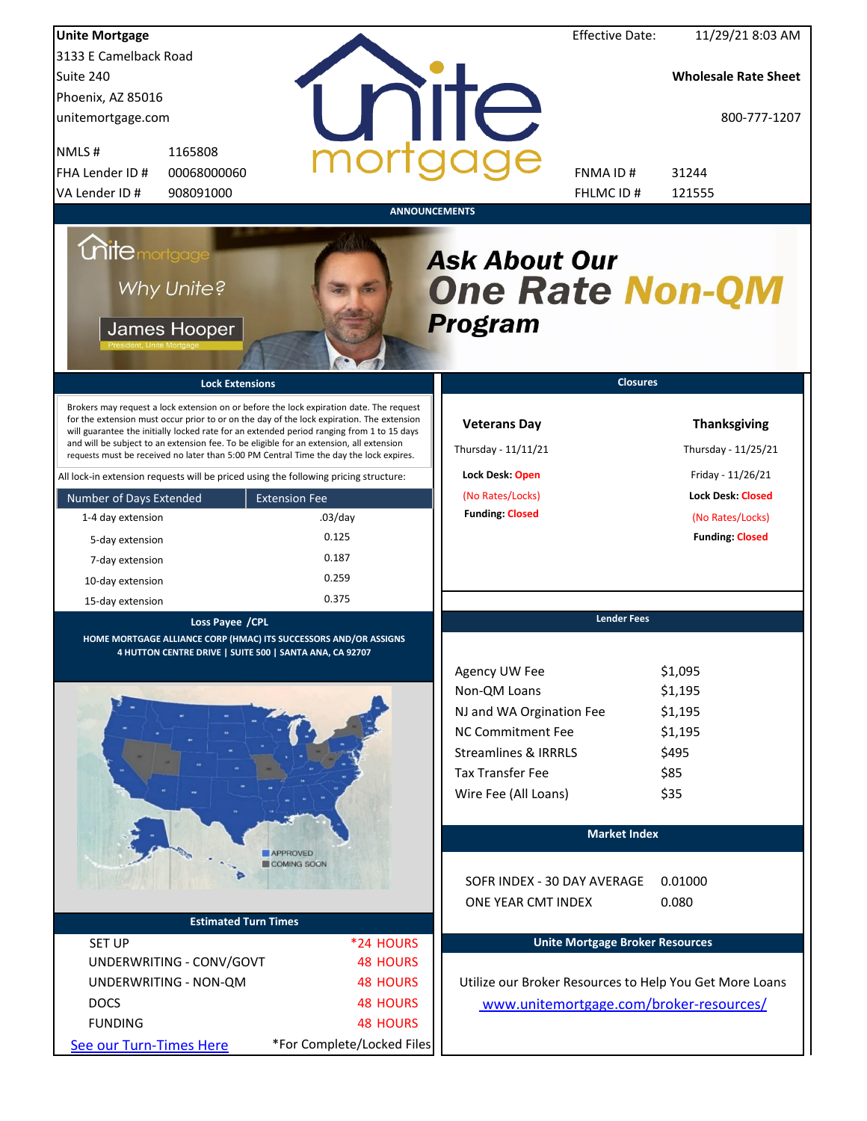| <b>Unite Mortgage</b>                                                                                                                                                                                                                                                                                                                                                                                                                                                                                                                                                                                                                                                                                                                        |                                                                                       | <b>Effective Date:</b>                                                                                                                                                          | 11/29/21 8:03 AM                                                                                                                                             |  |
|----------------------------------------------------------------------------------------------------------------------------------------------------------------------------------------------------------------------------------------------------------------------------------------------------------------------------------------------------------------------------------------------------------------------------------------------------------------------------------------------------------------------------------------------------------------------------------------------------------------------------------------------------------------------------------------------------------------------------------------------|---------------------------------------------------------------------------------------|---------------------------------------------------------------------------------------------------------------------------------------------------------------------------------|--------------------------------------------------------------------------------------------------------------------------------------------------------------|--|
| 3133 E Camelback Road                                                                                                                                                                                                                                                                                                                                                                                                                                                                                                                                                                                                                                                                                                                        |                                                                                       |                                                                                                                                                                                 |                                                                                                                                                              |  |
| Suite 240                                                                                                                                                                                                                                                                                                                                                                                                                                                                                                                                                                                                                                                                                                                                    |                                                                                       |                                                                                                                                                                                 | <b>Wholesale Rate Sheet</b>                                                                                                                                  |  |
| Phoenix, AZ 85016                                                                                                                                                                                                                                                                                                                                                                                                                                                                                                                                                                                                                                                                                                                            |                                                                                       |                                                                                                                                                                                 |                                                                                                                                                              |  |
| unitemortgage.com                                                                                                                                                                                                                                                                                                                                                                                                                                                                                                                                                                                                                                                                                                                            |                                                                                       | <b>NIIC</b>                                                                                                                                                                     | 800-777-1207                                                                                                                                                 |  |
| 1165808<br>NMLS#                                                                                                                                                                                                                                                                                                                                                                                                                                                                                                                                                                                                                                                                                                                             |                                                                                       |                                                                                                                                                                                 |                                                                                                                                                              |  |
| FHA Lender ID #<br>00068000060                                                                                                                                                                                                                                                                                                                                                                                                                                                                                                                                                                                                                                                                                                               |                                                                                       | FNMA ID#                                                                                                                                                                        | 31244                                                                                                                                                        |  |
| VA Lender ID #<br>908091000                                                                                                                                                                                                                                                                                                                                                                                                                                                                                                                                                                                                                                                                                                                  |                                                                                       | FHLMC ID#                                                                                                                                                                       | 121555                                                                                                                                                       |  |
| <i><b>Chite mortgage</b></i><br>Why Unite?<br>James Hooper<br><b>Lock Extensions</b><br>Brokers may request a lock extension on or before the lock expiration date. The request<br>for the extension must occur prior to or on the day of the lock expiration. The extension<br>will guarantee the initially locked rate for an extended period ranging from 1 to 15 days<br>and will be subject to an extension fee. To be eligible for an extension, all extension<br>requests must be received no later than 5:00 PM Central Time the day the lock expires.<br>All lock-in extension requests will be priced using the following pricing structure:<br>Number of Days Extended<br>1-4 day extension<br>5-day extension<br>7-day extension | <b>ANNOUNCEMENTS</b><br><b>Extension Fee</b><br>$.03$ /day<br>0.125<br>0.187<br>0.259 | <b>Ask About Our</b><br><b>One Rate Non-QM</b><br><b>Program</b><br><b>Veterans Day</b><br>Thursday - 11/11/21<br>Lock Desk: Open<br>(No Rates/Locks)<br><b>Funding: Closed</b> | <b>Closures</b><br><b>Thanksgiving</b><br>Thursday - 11/25/21<br>Friday - 11/26/21<br><b>Lock Desk: Closed</b><br>(No Rates/Locks)<br><b>Funding: Closed</b> |  |
| 10-day extension                                                                                                                                                                                                                                                                                                                                                                                                                                                                                                                                                                                                                                                                                                                             | 0.375                                                                                 |                                                                                                                                                                                 |                                                                                                                                                              |  |
| 15-day extension                                                                                                                                                                                                                                                                                                                                                                                                                                                                                                                                                                                                                                                                                                                             |                                                                                       |                                                                                                                                                                                 | <b>Lender Fees</b>                                                                                                                                           |  |
| Loss Payee / CPL<br>HOME MORTGAGE ALLIANCE CORP (HMAC) ITS SUCCESSORS AND/OR ASSIGNS                                                                                                                                                                                                                                                                                                                                                                                                                                                                                                                                                                                                                                                         |                                                                                       |                                                                                                                                                                                 |                                                                                                                                                              |  |
| 4 HUTTON CENTRE DRIVE   SUITE 500   SANTA ANA, CA 92707                                                                                                                                                                                                                                                                                                                                                                                                                                                                                                                                                                                                                                                                                      |                                                                                       | Agency UW Fee                                                                                                                                                                   | \$1,095                                                                                                                                                      |  |
|                                                                                                                                                                                                                                                                                                                                                                                                                                                                                                                                                                                                                                                                                                                                              |                                                                                       | Non-QM Loans                                                                                                                                                                    | \$1,195                                                                                                                                                      |  |
|                                                                                                                                                                                                                                                                                                                                                                                                                                                                                                                                                                                                                                                                                                                                              |                                                                                       | NJ and WA Orgination Fee                                                                                                                                                        | \$1,195                                                                                                                                                      |  |
|                                                                                                                                                                                                                                                                                                                                                                                                                                                                                                                                                                                                                                                                                                                                              |                                                                                       | <b>NC Commitment Fee</b>                                                                                                                                                        | \$1,195                                                                                                                                                      |  |
|                                                                                                                                                                                                                                                                                                                                                                                                                                                                                                                                                                                                                                                                                                                                              |                                                                                       | <b>Streamlines &amp; IRRRLS</b>                                                                                                                                                 | \$495                                                                                                                                                        |  |
|                                                                                                                                                                                                                                                                                                                                                                                                                                                                                                                                                                                                                                                                                                                                              |                                                                                       | <b>Tax Transfer Fee</b>                                                                                                                                                         | \$85                                                                                                                                                         |  |
|                                                                                                                                                                                                                                                                                                                                                                                                                                                                                                                                                                                                                                                                                                                                              |                                                                                       |                                                                                                                                                                                 |                                                                                                                                                              |  |
|                                                                                                                                                                                                                                                                                                                                                                                                                                                                                                                                                                                                                                                                                                                                              |                                                                                       | Wire Fee (All Loans)                                                                                                                                                            | \$35                                                                                                                                                         |  |
|                                                                                                                                                                                                                                                                                                                                                                                                                                                                                                                                                                                                                                                                                                                                              |                                                                                       |                                                                                                                                                                                 | <b>Market Index</b>                                                                                                                                          |  |
|                                                                                                                                                                                                                                                                                                                                                                                                                                                                                                                                                                                                                                                                                                                                              | APPROVED<br>COMING SOON                                                               |                                                                                                                                                                                 |                                                                                                                                                              |  |
|                                                                                                                                                                                                                                                                                                                                                                                                                                                                                                                                                                                                                                                                                                                                              |                                                                                       | SOFR INDEX - 30 DAY AVERAGE<br>ONE YEAR CMT INDEX                                                                                                                               | 0.01000<br>0.080                                                                                                                                             |  |
| <b>Estimated Turn Times</b>                                                                                                                                                                                                                                                                                                                                                                                                                                                                                                                                                                                                                                                                                                                  |                                                                                       |                                                                                                                                                                                 |                                                                                                                                                              |  |
| <b>SET UP</b>                                                                                                                                                                                                                                                                                                                                                                                                                                                                                                                                                                                                                                                                                                                                | *24 HOURS                                                                             |                                                                                                                                                                                 | <b>Unite Mortgage Broker Resources</b>                                                                                                                       |  |
| UNDERWRITING - CONV/GOVT                                                                                                                                                                                                                                                                                                                                                                                                                                                                                                                                                                                                                                                                                                                     | <b>48 HOURS</b>                                                                       |                                                                                                                                                                                 |                                                                                                                                                              |  |
| UNDERWRITING - NON-QM                                                                                                                                                                                                                                                                                                                                                                                                                                                                                                                                                                                                                                                                                                                        | <b>48 HOURS</b>                                                                       | Utilize our Broker Resources to Help You Get More Loans                                                                                                                         |                                                                                                                                                              |  |
| <b>DOCS</b>                                                                                                                                                                                                                                                                                                                                                                                                                                                                                                                                                                                                                                                                                                                                  | <b>48 HOURS</b>                                                                       |                                                                                                                                                                                 | www.unitemortgage.com/broker-resources/                                                                                                                      |  |
| <b>FUNDING</b>                                                                                                                                                                                                                                                                                                                                                                                                                                                                                                                                                                                                                                                                                                                               | <b>48 HOURS</b>                                                                       |                                                                                                                                                                                 |                                                                                                                                                              |  |
| See our Turn-Times Here                                                                                                                                                                                                                                                                                                                                                                                                                                                                                                                                                                                                                                                                                                                      | *For Complete/Locked Files                                                            |                                                                                                                                                                                 |                                                                                                                                                              |  |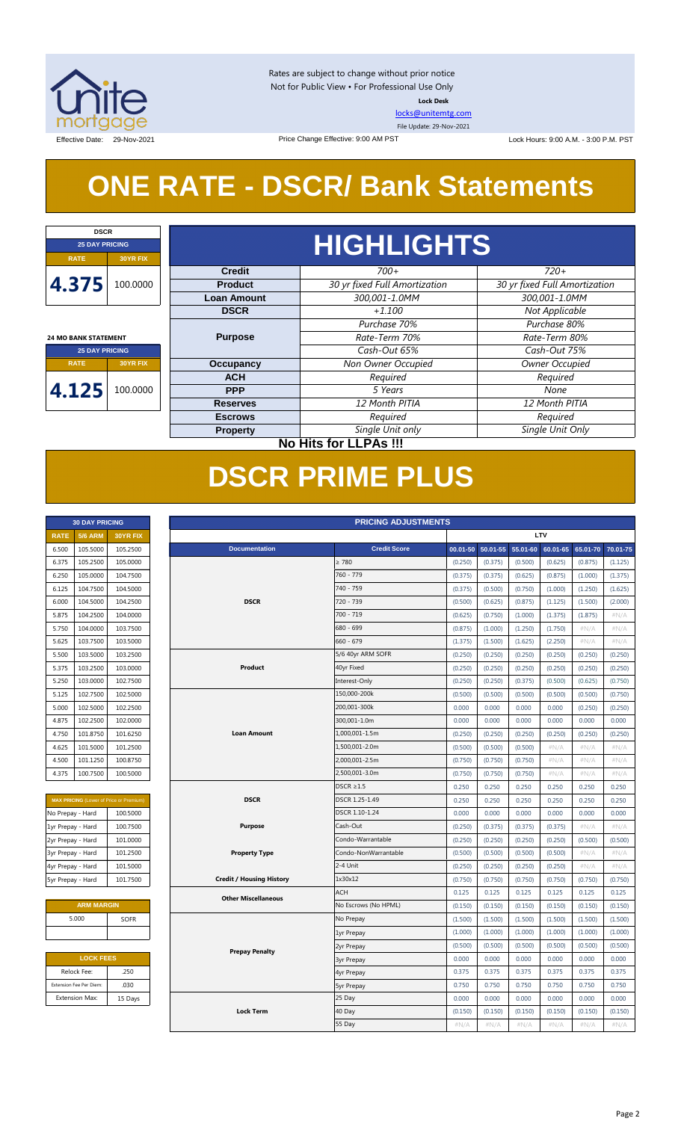

Rates are subject to change without prior notice Not for Public View • For Professional Use Only **Lock Desk**

[locks@unitemtg.com](mailto:locks@unitemtg.com)

File Update: 29-Nov-2021

Effective Date: 29-Nov-2021 23:00 P.M. PST Price Change Effective: 9:00 AM PST Lock Hours: 9:00 A.M. - 3:00 P.M. PST

## **ONE RATE - DSCR/ Bank Statements**

Price Change Effective: 9:00 AM PST

| <b>DSCR</b>                 |                              |                    |                               |                               |            |         |      |  |
|-----------------------------|------------------------------|--------------------|-------------------------------|-------------------------------|------------|---------|------|--|
| <b>25 DAY PRICING</b>       |                              |                    | <b>HIGHLIGHTS</b>             |                               |            |         |      |  |
| <b>RATE</b>                 | <b>30YR FIX</b>              |                    |                               |                               |            |         |      |  |
|                             |                              | <b>Credit</b>      | $700+$                        | $720+$                        |            |         |      |  |
| 4.375                       | 100.0000                     | <b>Product</b>     | 30 yr fixed Full Amortization | 30 yr fixed Full Amortization |            |         |      |  |
|                             |                              | <b>Loan Amount</b> | 300,001-1.0MM                 | 300,001-1.0MM                 |            |         |      |  |
|                             |                              | <b>DSCR</b>        | $+1.100$                      | Not Applicable                |            |         |      |  |
|                             |                              |                    | Purchase 70%                  | Purchase 80%                  |            |         |      |  |
| <b>24 MO BANK STATEMENT</b> |                              | <b>Purpose</b>     | Rate-Term 70%                 | Rate-Term 80%                 |            |         |      |  |
| <b>25 DAY PRICING</b>       |                              |                    | Cash-Out 65%                  | Cash-Out 75%                  |            |         |      |  |
| <b>RATE</b>                 | <b>30YR FIX</b>              | <b>Occupancy</b>   | Non Owner Occupied            | Owner Occupied                |            |         |      |  |
|                             |                              | <b>ACH</b>         | Required                      | Required                      |            |         |      |  |
| 4.125                       | 100.0000                     |                    |                               |                               | <b>PPP</b> | 5 Years | None |  |
|                             |                              | <b>Reserves</b>    | 12 Month PITIA                | 12 Month PITIA                |            |         |      |  |
|                             |                              | <b>Escrows</b>     | Required                      | Required                      |            |         |      |  |
|                             |                              | <b>Property</b>    | Single Unit only              | Single Unit Only              |            |         |      |  |
|                             | <b>No Hits for LLPAs !!!</b> |                    |                               |                               |            |         |      |  |

## **DSCR PRIME PLUS**

| <b>30 DAY PRICING</b> |                |                 |  |  |  |  |  |  |
|-----------------------|----------------|-----------------|--|--|--|--|--|--|
| <b>RATE</b>           | <b>5/6 ARM</b> | <b>30YR FIX</b> |  |  |  |  |  |  |
| 6.500                 | 105.5000       | 105.2500        |  |  |  |  |  |  |
| 6.375                 | 105.2500       | 105.0000        |  |  |  |  |  |  |
| 6.250                 | 105.0000       | 104.7500        |  |  |  |  |  |  |
| 6.125                 | 104.7500       | 104.5000        |  |  |  |  |  |  |
| 6.000                 | 104.5000       | 104.2500        |  |  |  |  |  |  |
| 5.875                 | 104.2500       | 104.0000        |  |  |  |  |  |  |
| 5.750                 | 104.0000       | 103.7500        |  |  |  |  |  |  |
| 5.625                 | 103.7500       | 103.5000        |  |  |  |  |  |  |
| 5.500                 | 103.5000       | 103.2500        |  |  |  |  |  |  |
| 5.375                 | 103.2500       | 103,0000        |  |  |  |  |  |  |
| 5.250                 | 103.0000       | 102.7500        |  |  |  |  |  |  |
| 5.125                 | 102.7500       | 102.5000        |  |  |  |  |  |  |
| 5.000                 | 102.5000       | 102.2500        |  |  |  |  |  |  |
| 4.875                 | 102.2500       | 102,0000        |  |  |  |  |  |  |
| 4.750                 | 101.8750       | 101.6250        |  |  |  |  |  |  |
| 4.625                 | 101.5000       | 101.2500        |  |  |  |  |  |  |
| 4.500                 | 101.1250       | 100.8750        |  |  |  |  |  |  |
| 4.375                 | 100.7500       | 100.5000        |  |  |  |  |  |  |

| <b>MAX PRICING</b> (Lower of Price or Premium) |          |  |  |  |  |  |  |  |  |
|------------------------------------------------|----------|--|--|--|--|--|--|--|--|
| No Prepay - Hard                               | 100.5000 |  |  |  |  |  |  |  |  |
| 1yr Prepay - Hard                              | 100.7500 |  |  |  |  |  |  |  |  |
| 2yr Prepay - Hard                              | 101.0000 |  |  |  |  |  |  |  |  |
| 3yr Prepay - Hard                              | 101.2500 |  |  |  |  |  |  |  |  |
| 4yr Prepay - Hard                              | 101.5000 |  |  |  |  |  |  |  |  |
| 5yr Prepay - Hard                              | 101.7500 |  |  |  |  |  |  |  |  |

| <b>ARM MARGIN</b> |             |
|-------------------|-------------|
| 5.000             | <b>SOFR</b> |
|                   |             |

| <b>LOCK FEES</b> |
|------------------|
| .250             |
| .030             |
| 15 Days          |
|                  |

| LTV<br><b>RATE</b><br><b>5/6 ARM</b><br>30YR FIX<br><b>Credit Score</b><br>105.5000<br><b>Documentation</b><br>50.01-55<br>$55.01 - 60$<br>60.01-65<br>65.01-70<br>6.500<br>105.2500<br>$00.01 - 50$<br>> 780<br>105.2500<br>105.0000<br>(0.500)<br>(0.875)<br>6.375<br>(0.250)<br>(0.375)<br>(0.625)<br>(1.125)<br>105.0000<br>104.7500<br>760 - 779<br>(0.375)<br>(0.875)<br>6.250<br>(0.375)<br>(0.625)<br>(1.000)<br>(1.375)<br>740 - 759<br>104.7500<br>104.5000<br>(0.500)<br>6.125<br>(0.375)<br>(0.750)<br>(1.000)<br>(1.250)<br>(1.625)<br><b>DSCR</b><br>720 - 739<br>6.000<br>104.5000<br>104.2500<br>(0.500)<br>(0.625)<br>(0.875)<br>(1.125)<br>(1.500)<br>(2.000)<br>700 - 719<br>5.875<br>104.2500<br>104.0000<br>(1.375)<br>#N/A<br>(0.625)<br>(0.750)<br>(1.000)<br>(1.875)<br>104.0000<br>103.7500<br>680 - 699<br>(0.875)<br>(1.000)<br>(1.250)<br>(1.750)<br>5.750<br>#N/A<br>#N/A<br>$660 - 679$<br>5.625<br>103.7500<br>103.5000<br>(1.375)<br>(1.500)<br>(1.625)<br>(2.250)<br>$\#N/A$<br>$\#N/A$<br>5.500<br>103.5000<br>103.2500<br>5/6 40yr ARM SOFR<br>(0.250)<br>(0.250)<br>(0.250)<br>(0.250)<br>(0.250)<br>(0.250)<br>40yr Fixed<br>5.375<br>103.2500<br>103.0000<br>Product<br>(0.250)<br>(0.250)<br>(0.250)<br>(0.250)<br>(0.250)<br>(0.250)<br>Interest-Only<br>5.250<br>103.0000<br>102.7500<br>(0.250)<br>(0.250)<br>(0.375)<br>(0.500)<br>(0.625)<br>(0.750)<br>150,000-200k<br>5.125<br>102.7500<br>102.5000<br>(0.500)<br>(0.500)<br>(0.500)<br>(0.500)<br>(0.500)<br>(0.750)<br>102.5000<br>200,001-300k<br>5.000<br>102.2500<br>0.000<br>0.000<br>0.000<br>0.000<br>(0.250)<br>(0.250)<br>300,001-1.0m<br>4.875<br>102.2500<br>102.0000<br>0.000<br>0.000<br>0.000<br>0.000<br>0.000<br>0.000<br><b>Loan Amount</b><br>1,000,001-1.5m<br>4.750<br>101.8750<br>101.6250<br>(0.250)<br>(0.250)<br>(0.250)<br>(0.250)<br>(0.250)<br>(0.250)<br>101.5000<br>101.2500<br>1,500,001-2.0m<br>4.625<br>(0.500)<br>(0.500)<br>(0.500)<br>#N/A<br>#N/A<br>#N/A<br>2,000,001-2.5m<br>101.1250<br>100.8750<br>4.500<br>(0.750)<br>(0.750)<br>(0.750)<br>#N/A<br>#N/A<br>#N/A<br>4.375<br>100.7500<br>100.5000<br>2,500,001-3.0m<br>$\#N/A$<br>$\#N/A$<br>#N/A<br>(0.750)<br>(0.750)<br>(0.750)<br>$DSCR \geq 1.5$<br>0.250<br>0.250<br>0.250<br>0.250<br>0.250<br>0.250<br><b>DSCR</b><br>DSCR 1.25-1.49<br>0.250<br>0.250<br>0.250<br>0.250<br>0.250<br>0.250<br>MAX PRICING (Lower of Price or Premium)<br>DSCR 1.10-1.24<br>100.5000<br>0.000<br>0.000<br>0.000<br>0.000<br>0.000<br>0.000<br>100.7500<br>Cash-Out<br><b>Purpose</b><br>(0.250)<br>(0.375)<br>(0.375)<br>(0.375)<br>#N/A<br>#N/A<br>101.0000<br>Condo-Warrantable<br>(0.250)<br>(0.250)<br>(0.250)<br>(0.250)<br>(0.500)<br>(0.500)<br><b>Property Type</b><br>Condo-NonWarrantable<br>101.2500<br>(0.500)<br>(0.500)<br>(0.500)<br>(0.500)<br>#N/A<br>#N/A<br>2-4 Unit<br>101.5000<br>(0.250)<br>(0.250)<br>(0.250)<br>(0.250)<br>#N/A<br>#N/A<br>101.7500<br><b>Credit / Housing History</b><br>1x30x12<br>(0.750)<br>(0.750)<br>(0.750)<br>(0.750)<br>(0.750)<br>(0.750)<br><b>ACH</b><br>0.125<br>0.125<br>0.125<br>0.125<br>0.125<br>0.125<br><b>Other Miscellaneous</b><br><b>ARM MARGIN</b><br>No Escrows (No HPML)<br>(0.150)<br>(0.150)<br>(0.150)<br>(0.150)<br>(0.150)<br>(0.150)<br>5.000<br>SOFR<br>No Prepay<br>(1.500)<br>(1.500)<br>(1.500)<br>(1.500)<br>(1.500)<br>(1.500)<br>(1.000)<br>(1.000)<br>(1.000)<br>(1.000)<br>(1.000)<br>(1.000)<br>1yr Prepay<br>(0.500)<br>(0.500)<br>(0.500)<br>(0.500)<br>(0.500)<br>(0.500)<br>2yr Prepay<br><b>Prepay Penalty</b><br><b>LOCK FEES</b><br>0.000<br>0.000<br>0.000<br>0.000<br>0.000<br>0.000<br><b>3yr Prepay</b><br>Relock Fee:<br>.250<br>0.375<br>0.375<br>0.375<br>0.375<br>0.375<br>0.375<br>4yr Prepay<br>Extension Fee Per Diem:<br>.030<br>0.750<br>0.750<br>0.750<br>0.750<br>0.750<br>0.750<br>5yr Prepay<br>25 Day<br>0.000<br><b>Extension Max:</b><br>15 Days<br>0.000<br>0.000<br>0.000<br>0.000<br>0.000<br><b>Lock Term</b><br>40 Day<br>(0.150)<br>(0.150)<br>(0.150)<br>(0.150)<br>(0.150)<br>(0.150)<br>55 Day<br>#N/A<br>$\#N/A$<br>#N/A<br>#N/A<br>$\#N/A$<br>#N/A | <b>PRICING ADJUSTMENTS</b><br><b>30 DAY PRICING</b> |  |  |  |  |  |  |  |          |
|-----------------------------------------------------------------------------------------------------------------------------------------------------------------------------------------------------------------------------------------------------------------------------------------------------------------------------------------------------------------------------------------------------------------------------------------------------------------------------------------------------------------------------------------------------------------------------------------------------------------------------------------------------------------------------------------------------------------------------------------------------------------------------------------------------------------------------------------------------------------------------------------------------------------------------------------------------------------------------------------------------------------------------------------------------------------------------------------------------------------------------------------------------------------------------------------------------------------------------------------------------------------------------------------------------------------------------------------------------------------------------------------------------------------------------------------------------------------------------------------------------------------------------------------------------------------------------------------------------------------------------------------------------------------------------------------------------------------------------------------------------------------------------------------------------------------------------------------------------------------------------------------------------------------------------------------------------------------------------------------------------------------------------------------------------------------------------------------------------------------------------------------------------------------------------------------------------------------------------------------------------------------------------------------------------------------------------------------------------------------------------------------------------------------------------------------------------------------------------------------------------------------------------------------------------------------------------------------------------------------------------------------------------------------------------------------------------------------------------------------------------------------------------------------------------------------------------------------------------------------------------------------------------------------------------------------------------------------------------------------------------------------------------------------------------------------------------------------------------------------------------------------------------------------------------------------------------------------------------------------------------------------------------------------------------------------------------------------------------------------------------------------------------------------------------------------------------------------------------------------------------------------------------------------------------------------------------------------------------------------------------------------------------------------------------------------------------------------------------------------------------------------------------------------------------------------------------------------------------------------------------------------------------------------------------------------------------------------------------------------------------------------------------------------------------------------------------------------------------------------------------------------------------------|-----------------------------------------------------|--|--|--|--|--|--|--|----------|
|                                                                                                                                                                                                                                                                                                                                                                                                                                                                                                                                                                                                                                                                                                                                                                                                                                                                                                                                                                                                                                                                                                                                                                                                                                                                                                                                                                                                                                                                                                                                                                                                                                                                                                                                                                                                                                                                                                                                                                                                                                                                                                                                                                                                                                                                                                                                                                                                                                                                                                                                                                                                                                                                                                                                                                                                                                                                                                                                                                                                                                                                                                                                                                                                                                                                                                                                                                                                                                                                                                                                                                                                                                                                                                                                                                                                                                                                                                                                                                                                                                                                                                                                                           |                                                     |  |  |  |  |  |  |  |          |
|                                                                                                                                                                                                                                                                                                                                                                                                                                                                                                                                                                                                                                                                                                                                                                                                                                                                                                                                                                                                                                                                                                                                                                                                                                                                                                                                                                                                                                                                                                                                                                                                                                                                                                                                                                                                                                                                                                                                                                                                                                                                                                                                                                                                                                                                                                                                                                                                                                                                                                                                                                                                                                                                                                                                                                                                                                                                                                                                                                                                                                                                                                                                                                                                                                                                                                                                                                                                                                                                                                                                                                                                                                                                                                                                                                                                                                                                                                                                                                                                                                                                                                                                                           |                                                     |  |  |  |  |  |  |  | 70.01-75 |
|                                                                                                                                                                                                                                                                                                                                                                                                                                                                                                                                                                                                                                                                                                                                                                                                                                                                                                                                                                                                                                                                                                                                                                                                                                                                                                                                                                                                                                                                                                                                                                                                                                                                                                                                                                                                                                                                                                                                                                                                                                                                                                                                                                                                                                                                                                                                                                                                                                                                                                                                                                                                                                                                                                                                                                                                                                                                                                                                                                                                                                                                                                                                                                                                                                                                                                                                                                                                                                                                                                                                                                                                                                                                                                                                                                                                                                                                                                                                                                                                                                                                                                                                                           |                                                     |  |  |  |  |  |  |  |          |
|                                                                                                                                                                                                                                                                                                                                                                                                                                                                                                                                                                                                                                                                                                                                                                                                                                                                                                                                                                                                                                                                                                                                                                                                                                                                                                                                                                                                                                                                                                                                                                                                                                                                                                                                                                                                                                                                                                                                                                                                                                                                                                                                                                                                                                                                                                                                                                                                                                                                                                                                                                                                                                                                                                                                                                                                                                                                                                                                                                                                                                                                                                                                                                                                                                                                                                                                                                                                                                                                                                                                                                                                                                                                                                                                                                                                                                                                                                                                                                                                                                                                                                                                                           |                                                     |  |  |  |  |  |  |  |          |
|                                                                                                                                                                                                                                                                                                                                                                                                                                                                                                                                                                                                                                                                                                                                                                                                                                                                                                                                                                                                                                                                                                                                                                                                                                                                                                                                                                                                                                                                                                                                                                                                                                                                                                                                                                                                                                                                                                                                                                                                                                                                                                                                                                                                                                                                                                                                                                                                                                                                                                                                                                                                                                                                                                                                                                                                                                                                                                                                                                                                                                                                                                                                                                                                                                                                                                                                                                                                                                                                                                                                                                                                                                                                                                                                                                                                                                                                                                                                                                                                                                                                                                                                                           |                                                     |  |  |  |  |  |  |  |          |
|                                                                                                                                                                                                                                                                                                                                                                                                                                                                                                                                                                                                                                                                                                                                                                                                                                                                                                                                                                                                                                                                                                                                                                                                                                                                                                                                                                                                                                                                                                                                                                                                                                                                                                                                                                                                                                                                                                                                                                                                                                                                                                                                                                                                                                                                                                                                                                                                                                                                                                                                                                                                                                                                                                                                                                                                                                                                                                                                                                                                                                                                                                                                                                                                                                                                                                                                                                                                                                                                                                                                                                                                                                                                                                                                                                                                                                                                                                                                                                                                                                                                                                                                                           |                                                     |  |  |  |  |  |  |  |          |
|                                                                                                                                                                                                                                                                                                                                                                                                                                                                                                                                                                                                                                                                                                                                                                                                                                                                                                                                                                                                                                                                                                                                                                                                                                                                                                                                                                                                                                                                                                                                                                                                                                                                                                                                                                                                                                                                                                                                                                                                                                                                                                                                                                                                                                                                                                                                                                                                                                                                                                                                                                                                                                                                                                                                                                                                                                                                                                                                                                                                                                                                                                                                                                                                                                                                                                                                                                                                                                                                                                                                                                                                                                                                                                                                                                                                                                                                                                                                                                                                                                                                                                                                                           |                                                     |  |  |  |  |  |  |  |          |
|                                                                                                                                                                                                                                                                                                                                                                                                                                                                                                                                                                                                                                                                                                                                                                                                                                                                                                                                                                                                                                                                                                                                                                                                                                                                                                                                                                                                                                                                                                                                                                                                                                                                                                                                                                                                                                                                                                                                                                                                                                                                                                                                                                                                                                                                                                                                                                                                                                                                                                                                                                                                                                                                                                                                                                                                                                                                                                                                                                                                                                                                                                                                                                                                                                                                                                                                                                                                                                                                                                                                                                                                                                                                                                                                                                                                                                                                                                                                                                                                                                                                                                                                                           |                                                     |  |  |  |  |  |  |  |          |
| No Prepay - Hard<br>1yr Prepay - Hard<br>2yr Prepay - Hard<br>3yr Prepay - Hard<br>4yr Prepay - Hard<br>5yr Prepay - Hard                                                                                                                                                                                                                                                                                                                                                                                                                                                                                                                                                                                                                                                                                                                                                                                                                                                                                                                                                                                                                                                                                                                                                                                                                                                                                                                                                                                                                                                                                                                                                                                                                                                                                                                                                                                                                                                                                                                                                                                                                                                                                                                                                                                                                                                                                                                                                                                                                                                                                                                                                                                                                                                                                                                                                                                                                                                                                                                                                                                                                                                                                                                                                                                                                                                                                                                                                                                                                                                                                                                                                                                                                                                                                                                                                                                                                                                                                                                                                                                                                                 |                                                     |  |  |  |  |  |  |  |          |
|                                                                                                                                                                                                                                                                                                                                                                                                                                                                                                                                                                                                                                                                                                                                                                                                                                                                                                                                                                                                                                                                                                                                                                                                                                                                                                                                                                                                                                                                                                                                                                                                                                                                                                                                                                                                                                                                                                                                                                                                                                                                                                                                                                                                                                                                                                                                                                                                                                                                                                                                                                                                                                                                                                                                                                                                                                                                                                                                                                                                                                                                                                                                                                                                                                                                                                                                                                                                                                                                                                                                                                                                                                                                                                                                                                                                                                                                                                                                                                                                                                                                                                                                                           |                                                     |  |  |  |  |  |  |  |          |
|                                                                                                                                                                                                                                                                                                                                                                                                                                                                                                                                                                                                                                                                                                                                                                                                                                                                                                                                                                                                                                                                                                                                                                                                                                                                                                                                                                                                                                                                                                                                                                                                                                                                                                                                                                                                                                                                                                                                                                                                                                                                                                                                                                                                                                                                                                                                                                                                                                                                                                                                                                                                                                                                                                                                                                                                                                                                                                                                                                                                                                                                                                                                                                                                                                                                                                                                                                                                                                                                                                                                                                                                                                                                                                                                                                                                                                                                                                                                                                                                                                                                                                                                                           |                                                     |  |  |  |  |  |  |  |          |
|                                                                                                                                                                                                                                                                                                                                                                                                                                                                                                                                                                                                                                                                                                                                                                                                                                                                                                                                                                                                                                                                                                                                                                                                                                                                                                                                                                                                                                                                                                                                                                                                                                                                                                                                                                                                                                                                                                                                                                                                                                                                                                                                                                                                                                                                                                                                                                                                                                                                                                                                                                                                                                                                                                                                                                                                                                                                                                                                                                                                                                                                                                                                                                                                                                                                                                                                                                                                                                                                                                                                                                                                                                                                                                                                                                                                                                                                                                                                                                                                                                                                                                                                                           |                                                     |  |  |  |  |  |  |  |          |
|                                                                                                                                                                                                                                                                                                                                                                                                                                                                                                                                                                                                                                                                                                                                                                                                                                                                                                                                                                                                                                                                                                                                                                                                                                                                                                                                                                                                                                                                                                                                                                                                                                                                                                                                                                                                                                                                                                                                                                                                                                                                                                                                                                                                                                                                                                                                                                                                                                                                                                                                                                                                                                                                                                                                                                                                                                                                                                                                                                                                                                                                                                                                                                                                                                                                                                                                                                                                                                                                                                                                                                                                                                                                                                                                                                                                                                                                                                                                                                                                                                                                                                                                                           |                                                     |  |  |  |  |  |  |  |          |
|                                                                                                                                                                                                                                                                                                                                                                                                                                                                                                                                                                                                                                                                                                                                                                                                                                                                                                                                                                                                                                                                                                                                                                                                                                                                                                                                                                                                                                                                                                                                                                                                                                                                                                                                                                                                                                                                                                                                                                                                                                                                                                                                                                                                                                                                                                                                                                                                                                                                                                                                                                                                                                                                                                                                                                                                                                                                                                                                                                                                                                                                                                                                                                                                                                                                                                                                                                                                                                                                                                                                                                                                                                                                                                                                                                                                                                                                                                                                                                                                                                                                                                                                                           |                                                     |  |  |  |  |  |  |  |          |
|                                                                                                                                                                                                                                                                                                                                                                                                                                                                                                                                                                                                                                                                                                                                                                                                                                                                                                                                                                                                                                                                                                                                                                                                                                                                                                                                                                                                                                                                                                                                                                                                                                                                                                                                                                                                                                                                                                                                                                                                                                                                                                                                                                                                                                                                                                                                                                                                                                                                                                                                                                                                                                                                                                                                                                                                                                                                                                                                                                                                                                                                                                                                                                                                                                                                                                                                                                                                                                                                                                                                                                                                                                                                                                                                                                                                                                                                                                                                                                                                                                                                                                                                                           |                                                     |  |  |  |  |  |  |  |          |
|                                                                                                                                                                                                                                                                                                                                                                                                                                                                                                                                                                                                                                                                                                                                                                                                                                                                                                                                                                                                                                                                                                                                                                                                                                                                                                                                                                                                                                                                                                                                                                                                                                                                                                                                                                                                                                                                                                                                                                                                                                                                                                                                                                                                                                                                                                                                                                                                                                                                                                                                                                                                                                                                                                                                                                                                                                                                                                                                                                                                                                                                                                                                                                                                                                                                                                                                                                                                                                                                                                                                                                                                                                                                                                                                                                                                                                                                                                                                                                                                                                                                                                                                                           |                                                     |  |  |  |  |  |  |  |          |
|                                                                                                                                                                                                                                                                                                                                                                                                                                                                                                                                                                                                                                                                                                                                                                                                                                                                                                                                                                                                                                                                                                                                                                                                                                                                                                                                                                                                                                                                                                                                                                                                                                                                                                                                                                                                                                                                                                                                                                                                                                                                                                                                                                                                                                                                                                                                                                                                                                                                                                                                                                                                                                                                                                                                                                                                                                                                                                                                                                                                                                                                                                                                                                                                                                                                                                                                                                                                                                                                                                                                                                                                                                                                                                                                                                                                                                                                                                                                                                                                                                                                                                                                                           |                                                     |  |  |  |  |  |  |  |          |
|                                                                                                                                                                                                                                                                                                                                                                                                                                                                                                                                                                                                                                                                                                                                                                                                                                                                                                                                                                                                                                                                                                                                                                                                                                                                                                                                                                                                                                                                                                                                                                                                                                                                                                                                                                                                                                                                                                                                                                                                                                                                                                                                                                                                                                                                                                                                                                                                                                                                                                                                                                                                                                                                                                                                                                                                                                                                                                                                                                                                                                                                                                                                                                                                                                                                                                                                                                                                                                                                                                                                                                                                                                                                                                                                                                                                                                                                                                                                                                                                                                                                                                                                                           |                                                     |  |  |  |  |  |  |  |          |
|                                                                                                                                                                                                                                                                                                                                                                                                                                                                                                                                                                                                                                                                                                                                                                                                                                                                                                                                                                                                                                                                                                                                                                                                                                                                                                                                                                                                                                                                                                                                                                                                                                                                                                                                                                                                                                                                                                                                                                                                                                                                                                                                                                                                                                                                                                                                                                                                                                                                                                                                                                                                                                                                                                                                                                                                                                                                                                                                                                                                                                                                                                                                                                                                                                                                                                                                                                                                                                                                                                                                                                                                                                                                                                                                                                                                                                                                                                                                                                                                                                                                                                                                                           |                                                     |  |  |  |  |  |  |  |          |
|                                                                                                                                                                                                                                                                                                                                                                                                                                                                                                                                                                                                                                                                                                                                                                                                                                                                                                                                                                                                                                                                                                                                                                                                                                                                                                                                                                                                                                                                                                                                                                                                                                                                                                                                                                                                                                                                                                                                                                                                                                                                                                                                                                                                                                                                                                                                                                                                                                                                                                                                                                                                                                                                                                                                                                                                                                                                                                                                                                                                                                                                                                                                                                                                                                                                                                                                                                                                                                                                                                                                                                                                                                                                                                                                                                                                                                                                                                                                                                                                                                                                                                                                                           |                                                     |  |  |  |  |  |  |  |          |
|                                                                                                                                                                                                                                                                                                                                                                                                                                                                                                                                                                                                                                                                                                                                                                                                                                                                                                                                                                                                                                                                                                                                                                                                                                                                                                                                                                                                                                                                                                                                                                                                                                                                                                                                                                                                                                                                                                                                                                                                                                                                                                                                                                                                                                                                                                                                                                                                                                                                                                                                                                                                                                                                                                                                                                                                                                                                                                                                                                                                                                                                                                                                                                                                                                                                                                                                                                                                                                                                                                                                                                                                                                                                                                                                                                                                                                                                                                                                                                                                                                                                                                                                                           |                                                     |  |  |  |  |  |  |  |          |
|                                                                                                                                                                                                                                                                                                                                                                                                                                                                                                                                                                                                                                                                                                                                                                                                                                                                                                                                                                                                                                                                                                                                                                                                                                                                                                                                                                                                                                                                                                                                                                                                                                                                                                                                                                                                                                                                                                                                                                                                                                                                                                                                                                                                                                                                                                                                                                                                                                                                                                                                                                                                                                                                                                                                                                                                                                                                                                                                                                                                                                                                                                                                                                                                                                                                                                                                                                                                                                                                                                                                                                                                                                                                                                                                                                                                                                                                                                                                                                                                                                                                                                                                                           |                                                     |  |  |  |  |  |  |  |          |
|                                                                                                                                                                                                                                                                                                                                                                                                                                                                                                                                                                                                                                                                                                                                                                                                                                                                                                                                                                                                                                                                                                                                                                                                                                                                                                                                                                                                                                                                                                                                                                                                                                                                                                                                                                                                                                                                                                                                                                                                                                                                                                                                                                                                                                                                                                                                                                                                                                                                                                                                                                                                                                                                                                                                                                                                                                                                                                                                                                                                                                                                                                                                                                                                                                                                                                                                                                                                                                                                                                                                                                                                                                                                                                                                                                                                                                                                                                                                                                                                                                                                                                                                                           |                                                     |  |  |  |  |  |  |  |          |
|                                                                                                                                                                                                                                                                                                                                                                                                                                                                                                                                                                                                                                                                                                                                                                                                                                                                                                                                                                                                                                                                                                                                                                                                                                                                                                                                                                                                                                                                                                                                                                                                                                                                                                                                                                                                                                                                                                                                                                                                                                                                                                                                                                                                                                                                                                                                                                                                                                                                                                                                                                                                                                                                                                                                                                                                                                                                                                                                                                                                                                                                                                                                                                                                                                                                                                                                                                                                                                                                                                                                                                                                                                                                                                                                                                                                                                                                                                                                                                                                                                                                                                                                                           |                                                     |  |  |  |  |  |  |  |          |
|                                                                                                                                                                                                                                                                                                                                                                                                                                                                                                                                                                                                                                                                                                                                                                                                                                                                                                                                                                                                                                                                                                                                                                                                                                                                                                                                                                                                                                                                                                                                                                                                                                                                                                                                                                                                                                                                                                                                                                                                                                                                                                                                                                                                                                                                                                                                                                                                                                                                                                                                                                                                                                                                                                                                                                                                                                                                                                                                                                                                                                                                                                                                                                                                                                                                                                                                                                                                                                                                                                                                                                                                                                                                                                                                                                                                                                                                                                                                                                                                                                                                                                                                                           |                                                     |  |  |  |  |  |  |  |          |
|                                                                                                                                                                                                                                                                                                                                                                                                                                                                                                                                                                                                                                                                                                                                                                                                                                                                                                                                                                                                                                                                                                                                                                                                                                                                                                                                                                                                                                                                                                                                                                                                                                                                                                                                                                                                                                                                                                                                                                                                                                                                                                                                                                                                                                                                                                                                                                                                                                                                                                                                                                                                                                                                                                                                                                                                                                                                                                                                                                                                                                                                                                                                                                                                                                                                                                                                                                                                                                                                                                                                                                                                                                                                                                                                                                                                                                                                                                                                                                                                                                                                                                                                                           |                                                     |  |  |  |  |  |  |  |          |
|                                                                                                                                                                                                                                                                                                                                                                                                                                                                                                                                                                                                                                                                                                                                                                                                                                                                                                                                                                                                                                                                                                                                                                                                                                                                                                                                                                                                                                                                                                                                                                                                                                                                                                                                                                                                                                                                                                                                                                                                                                                                                                                                                                                                                                                                                                                                                                                                                                                                                                                                                                                                                                                                                                                                                                                                                                                                                                                                                                                                                                                                                                                                                                                                                                                                                                                                                                                                                                                                                                                                                                                                                                                                                                                                                                                                                                                                                                                                                                                                                                                                                                                                                           |                                                     |  |  |  |  |  |  |  |          |
|                                                                                                                                                                                                                                                                                                                                                                                                                                                                                                                                                                                                                                                                                                                                                                                                                                                                                                                                                                                                                                                                                                                                                                                                                                                                                                                                                                                                                                                                                                                                                                                                                                                                                                                                                                                                                                                                                                                                                                                                                                                                                                                                                                                                                                                                                                                                                                                                                                                                                                                                                                                                                                                                                                                                                                                                                                                                                                                                                                                                                                                                                                                                                                                                                                                                                                                                                                                                                                                                                                                                                                                                                                                                                                                                                                                                                                                                                                                                                                                                                                                                                                                                                           |                                                     |  |  |  |  |  |  |  |          |
|                                                                                                                                                                                                                                                                                                                                                                                                                                                                                                                                                                                                                                                                                                                                                                                                                                                                                                                                                                                                                                                                                                                                                                                                                                                                                                                                                                                                                                                                                                                                                                                                                                                                                                                                                                                                                                                                                                                                                                                                                                                                                                                                                                                                                                                                                                                                                                                                                                                                                                                                                                                                                                                                                                                                                                                                                                                                                                                                                                                                                                                                                                                                                                                                                                                                                                                                                                                                                                                                                                                                                                                                                                                                                                                                                                                                                                                                                                                                                                                                                                                                                                                                                           |                                                     |  |  |  |  |  |  |  |          |
|                                                                                                                                                                                                                                                                                                                                                                                                                                                                                                                                                                                                                                                                                                                                                                                                                                                                                                                                                                                                                                                                                                                                                                                                                                                                                                                                                                                                                                                                                                                                                                                                                                                                                                                                                                                                                                                                                                                                                                                                                                                                                                                                                                                                                                                                                                                                                                                                                                                                                                                                                                                                                                                                                                                                                                                                                                                                                                                                                                                                                                                                                                                                                                                                                                                                                                                                                                                                                                                                                                                                                                                                                                                                                                                                                                                                                                                                                                                                                                                                                                                                                                                                                           |                                                     |  |  |  |  |  |  |  |          |
|                                                                                                                                                                                                                                                                                                                                                                                                                                                                                                                                                                                                                                                                                                                                                                                                                                                                                                                                                                                                                                                                                                                                                                                                                                                                                                                                                                                                                                                                                                                                                                                                                                                                                                                                                                                                                                                                                                                                                                                                                                                                                                                                                                                                                                                                                                                                                                                                                                                                                                                                                                                                                                                                                                                                                                                                                                                                                                                                                                                                                                                                                                                                                                                                                                                                                                                                                                                                                                                                                                                                                                                                                                                                                                                                                                                                                                                                                                                                                                                                                                                                                                                                                           |                                                     |  |  |  |  |  |  |  |          |
|                                                                                                                                                                                                                                                                                                                                                                                                                                                                                                                                                                                                                                                                                                                                                                                                                                                                                                                                                                                                                                                                                                                                                                                                                                                                                                                                                                                                                                                                                                                                                                                                                                                                                                                                                                                                                                                                                                                                                                                                                                                                                                                                                                                                                                                                                                                                                                                                                                                                                                                                                                                                                                                                                                                                                                                                                                                                                                                                                                                                                                                                                                                                                                                                                                                                                                                                                                                                                                                                                                                                                                                                                                                                                                                                                                                                                                                                                                                                                                                                                                                                                                                                                           |                                                     |  |  |  |  |  |  |  |          |
|                                                                                                                                                                                                                                                                                                                                                                                                                                                                                                                                                                                                                                                                                                                                                                                                                                                                                                                                                                                                                                                                                                                                                                                                                                                                                                                                                                                                                                                                                                                                                                                                                                                                                                                                                                                                                                                                                                                                                                                                                                                                                                                                                                                                                                                                                                                                                                                                                                                                                                                                                                                                                                                                                                                                                                                                                                                                                                                                                                                                                                                                                                                                                                                                                                                                                                                                                                                                                                                                                                                                                                                                                                                                                                                                                                                                                                                                                                                                                                                                                                                                                                                                                           |                                                     |  |  |  |  |  |  |  |          |
|                                                                                                                                                                                                                                                                                                                                                                                                                                                                                                                                                                                                                                                                                                                                                                                                                                                                                                                                                                                                                                                                                                                                                                                                                                                                                                                                                                                                                                                                                                                                                                                                                                                                                                                                                                                                                                                                                                                                                                                                                                                                                                                                                                                                                                                                                                                                                                                                                                                                                                                                                                                                                                                                                                                                                                                                                                                                                                                                                                                                                                                                                                                                                                                                                                                                                                                                                                                                                                                                                                                                                                                                                                                                                                                                                                                                                                                                                                                                                                                                                                                                                                                                                           |                                                     |  |  |  |  |  |  |  |          |
|                                                                                                                                                                                                                                                                                                                                                                                                                                                                                                                                                                                                                                                                                                                                                                                                                                                                                                                                                                                                                                                                                                                                                                                                                                                                                                                                                                                                                                                                                                                                                                                                                                                                                                                                                                                                                                                                                                                                                                                                                                                                                                                                                                                                                                                                                                                                                                                                                                                                                                                                                                                                                                                                                                                                                                                                                                                                                                                                                                                                                                                                                                                                                                                                                                                                                                                                                                                                                                                                                                                                                                                                                                                                                                                                                                                                                                                                                                                                                                                                                                                                                                                                                           |                                                     |  |  |  |  |  |  |  |          |
|                                                                                                                                                                                                                                                                                                                                                                                                                                                                                                                                                                                                                                                                                                                                                                                                                                                                                                                                                                                                                                                                                                                                                                                                                                                                                                                                                                                                                                                                                                                                                                                                                                                                                                                                                                                                                                                                                                                                                                                                                                                                                                                                                                                                                                                                                                                                                                                                                                                                                                                                                                                                                                                                                                                                                                                                                                                                                                                                                                                                                                                                                                                                                                                                                                                                                                                                                                                                                                                                                                                                                                                                                                                                                                                                                                                                                                                                                                                                                                                                                                                                                                                                                           |                                                     |  |  |  |  |  |  |  |          |
|                                                                                                                                                                                                                                                                                                                                                                                                                                                                                                                                                                                                                                                                                                                                                                                                                                                                                                                                                                                                                                                                                                                                                                                                                                                                                                                                                                                                                                                                                                                                                                                                                                                                                                                                                                                                                                                                                                                                                                                                                                                                                                                                                                                                                                                                                                                                                                                                                                                                                                                                                                                                                                                                                                                                                                                                                                                                                                                                                                                                                                                                                                                                                                                                                                                                                                                                                                                                                                                                                                                                                                                                                                                                                                                                                                                                                                                                                                                                                                                                                                                                                                                                                           |                                                     |  |  |  |  |  |  |  |          |
|                                                                                                                                                                                                                                                                                                                                                                                                                                                                                                                                                                                                                                                                                                                                                                                                                                                                                                                                                                                                                                                                                                                                                                                                                                                                                                                                                                                                                                                                                                                                                                                                                                                                                                                                                                                                                                                                                                                                                                                                                                                                                                                                                                                                                                                                                                                                                                                                                                                                                                                                                                                                                                                                                                                                                                                                                                                                                                                                                                                                                                                                                                                                                                                                                                                                                                                                                                                                                                                                                                                                                                                                                                                                                                                                                                                                                                                                                                                                                                                                                                                                                                                                                           |                                                     |  |  |  |  |  |  |  |          |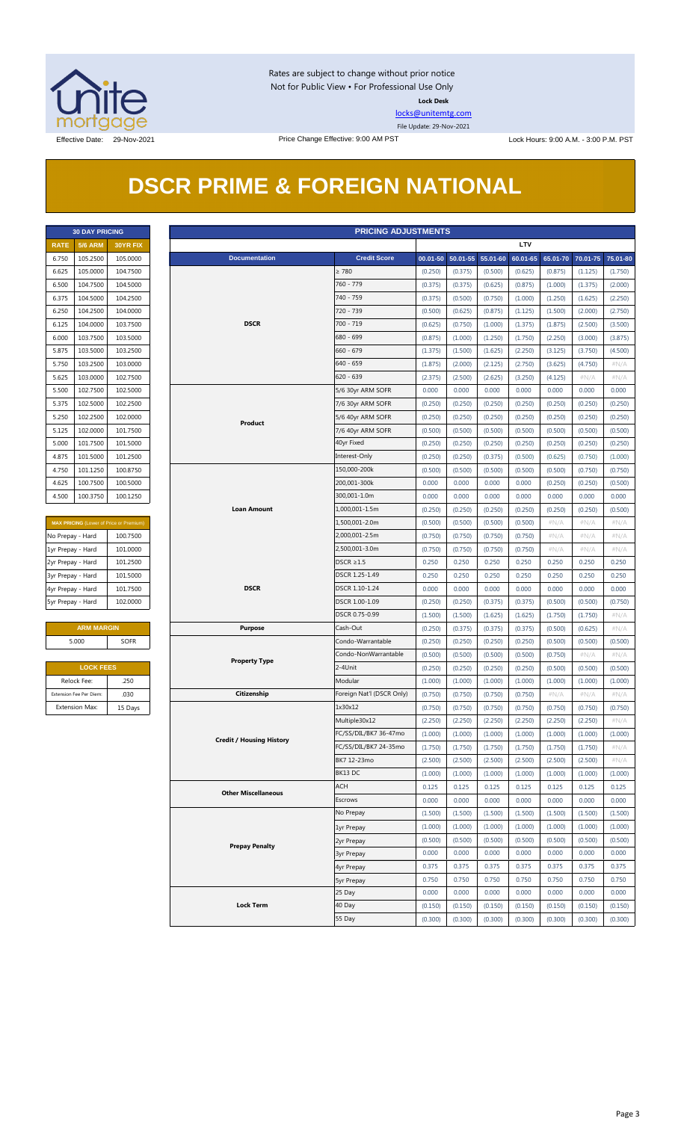

Rates are subject to change without prior notice Not for Public View • For Professional Use Only **Lock Desk**

[locks@unitemtg.com](mailto:locks@unitemtg.com)

File Update: 29-Nov-2021

## **DSCR PRIME & FOREIGN NATIONAL**

|             | <b>30 DAY PRICING</b> |                 |  |  |  |  |  |  |  |
|-------------|-----------------------|-----------------|--|--|--|--|--|--|--|
| <b>RATE</b> | <b>5/6 ARM</b>        | <b>30YR FIX</b> |  |  |  |  |  |  |  |
| 6.750       | 105.2500              | 105.0000        |  |  |  |  |  |  |  |
| 6.625       | 105.0000              | 104.7500        |  |  |  |  |  |  |  |
| 6.500       | 104.7500              | 104.5000        |  |  |  |  |  |  |  |
| 6.375       | 104.5000              | 104.2500        |  |  |  |  |  |  |  |
| 6.250       | 104.2500              | 104.0000        |  |  |  |  |  |  |  |
| 6.125       | 104.0000              | 103.7500        |  |  |  |  |  |  |  |
| 6.000       | 103.7500              | 103.5000        |  |  |  |  |  |  |  |
| 5.875       | 103.5000              | 103.2500        |  |  |  |  |  |  |  |
| 5.750       | 103.2500              | 103.0000        |  |  |  |  |  |  |  |
| 5.625       | 103.0000              | 102.7500        |  |  |  |  |  |  |  |
| 5.500       | 102.7500              | 102.5000        |  |  |  |  |  |  |  |
| 5.375       | 102.5000              | 102.2500        |  |  |  |  |  |  |  |
| 5.250       | 102.2500              | 102,0000        |  |  |  |  |  |  |  |
| 5.125       | 102.0000              | 101.7500        |  |  |  |  |  |  |  |
| 5.000       | 101.7500              | 101.5000        |  |  |  |  |  |  |  |
| 4.875       | 101.5000              | 101.2500        |  |  |  |  |  |  |  |
| 4.750       | 101.1250              | 100.8750        |  |  |  |  |  |  |  |
| 4.625       | 100.7500              | 100.5000        |  |  |  |  |  |  |  |
| 4.500       | 100.3750              | 100.1250        |  |  |  |  |  |  |  |

| <b>MAX PRICING</b> (Lower of Price or Premium) |          |  |  |  |  |  |  |  |  |
|------------------------------------------------|----------|--|--|--|--|--|--|--|--|
| No Prepay - Hard                               | 100.7500 |  |  |  |  |  |  |  |  |
| 1yr Prepay - Hard                              | 101.0000 |  |  |  |  |  |  |  |  |
| 2yr Prepay - Hard                              | 101.2500 |  |  |  |  |  |  |  |  |
| 3yr Prepay - Hard                              | 101.5000 |  |  |  |  |  |  |  |  |
| 4yr Prepay - Hard                              | 101.7500 |  |  |  |  |  |  |  |  |
| 5yr Prepay - Hard                              | 102,0000 |  |  |  |  |  |  |  |  |

| <b>ARM MARGIN</b> |             |  |  |  |  |  |  |
|-------------------|-------------|--|--|--|--|--|--|
| 5.000             | <b>SOFR</b> |  |  |  |  |  |  |
|                   |             |  |  |  |  |  |  |

| <b>LOCK FEES</b>        |         |  |  |  |  |  |  |  |
|-------------------------|---------|--|--|--|--|--|--|--|
| Relock Fee:             | .250    |  |  |  |  |  |  |  |
| Extension Fee Per Diem: | .030    |  |  |  |  |  |  |  |
| <b>Extension Max:</b>   | 15 Days |  |  |  |  |  |  |  |

| <b>5/6 ARM</b><br><b>LTV</b><br><b>RATE</b><br>30YR FIX<br><b>Credit Score</b><br><b>Documentation</b><br>105.2500<br>105.0000<br>00.01-50 50.01-55 55.01-60<br>60.01-65<br>65.01-70 70.01-75 75.01-80<br>6.750<br>105.0000<br>104.7500<br>$\geq 780$<br>6.625<br>(0.250)<br>(0.375)<br>(0.500)<br>(0.625)<br>(0.875)<br>(1.125)<br>(1.750)<br>760 - 779<br>104.7500<br>104.5000<br>6.500<br>(0.375)<br>(0.375)<br>(0.625)<br>(0.875)<br>(1.000)<br>(1.375)<br>(2.000)<br>740 - 759<br>104.5000<br>104.2500<br>6.375<br>(0.375)<br>(0.500)<br>(0.750)<br>(1.000)<br>(1.250)<br>(1.625)<br>(2.250)<br>720 - 739<br>104.2500<br>104.0000<br>6.250<br>(0.500)<br>(0.625)<br>(0.875)<br>(1.125)<br>(1.500)<br>(2.000)<br>(2.750)<br><b>DSCR</b><br>700 - 719<br>104.0000<br>103.7500<br>6.125<br>(0.625)<br>(0.750)<br>(1.000)<br>(1.375)<br>(1.875)<br>(2.500)<br>(3.500)<br>680 - 699<br>103.7500<br>103.5000<br>6.000<br>(0.875)<br>(1.000)<br>(1.250)<br>(1.750)<br>(2.250)<br>(3.000)<br>(3.875)<br>5.875<br>103.5000<br>103.2500<br>$660 - 679$<br>(1.500)<br>(2.250)<br>(1.375)<br>(1.625)<br>(3.125)<br>(3.750)<br>(4.500)<br>103.2500<br>103.0000<br>640 - 659<br>(1.875)<br>(2.000)<br>(2.125)<br>(2.750)<br>(3.625)<br>(4.750)<br>5.750<br>$\#N/A$<br>103.0000<br>102.7500<br>$620 - 639$<br>(2.375)<br>(2.500)<br>(2.625)<br>(3.250)<br>(4.125)<br># $N/A$<br>$\#N/A$<br>5.625<br>102.7500<br>102.5000<br>0.000<br>0.000<br>0.000<br>0.000<br>0.000<br>0.000<br>0.000<br>5.500<br>5/6 30yr ARM SOFR<br>102.5000<br>102.2500<br>5.375<br>7/6 30yr ARM SOFR<br>(0.250)<br>(0.250)<br>(0.250)<br>(0.250)<br>(0.250)<br>(0.250)<br>(0.250)<br>102.2500<br>102.0000<br>5.250<br>5/6 40yr ARM SOFR<br>(0.250)<br>(0.250)<br>(0.250)<br>(0.250)<br>(0.250)<br>(0.250)<br>(0.250)<br>Product<br>102.0000<br>101.7500<br>(0.500)<br>5.125<br>7/6 40yr ARM SOFR<br>(0.500)<br>(0.500)<br>(0.500)<br>(0.500)<br>(0.500)<br>(0.500)<br>40yr Fixed<br>5.000<br>101.7500<br>101.5000<br>(0.250)<br>(0.250)<br>(0.250)<br>(0.250)<br>(0.250)<br>(0.250)<br>(0.250)<br>4.875<br>101.5000<br>101.2500<br>Interest-Only<br>(0.250)<br>(0.250)<br>(0.375)<br>(0.500)<br>(0.625)<br>(0.750)<br>(1.000)<br>150,000-200k<br>4.750<br>101.1250<br>100.8750<br>(0.500)<br>(0.500)<br>(0.500)<br>(0.500)<br>(0.500)<br>(0.750)<br>(0.750)<br>200,001-300k<br>100.7500<br>100.5000<br>0.000<br>0.000<br>0.000<br>0.000<br>(0.250)<br>(0.250)<br>(0.500)<br>4.625<br>300,001-1.0m<br>4.500<br>100.3750<br>100.1250<br>0.000<br>0.000<br>0.000<br>0.000<br>0.000<br>0.000<br>0.000<br><b>Loan Amount</b><br>1,000,001-1.5m<br>(0.250)<br>(0.250)<br>(0.250)<br>(0.250)<br>(0.250)<br>(0.250)<br>(0.500)<br>1,500,001-2.0m<br>(0.500)<br>(0.500)<br>(0.500)<br>(0.500)<br>$\#N/A$<br>#N/A<br>$\#N/A$<br>MAX PRICING (Lower of Price or Premium)<br>2,000,001-2.5m<br>No Prepay - Hard<br>100.7500<br>(0.750)<br>(0.750)<br>(0.750)<br>(0.750)<br># $N/A$<br># $N/A$<br>$\#N/A$<br>2,500,001-3.0m<br>101.0000<br>1yr Prepay - Hard<br>(0.750)<br>(0.750)<br>(0.750)<br>(0.750)<br># $N/A$<br># $N/A$<br>$\#N/A$<br>101.2500<br>$DSCR \geq 1.5$<br>0.250<br>0.250<br>0.250<br>0.250<br>0.250<br>0.250<br>0.250<br>2yr Prepay - Hard<br>101.5000<br>DSCR 1.25-1.49<br>0.250<br>0.250<br>0.250<br>0.250<br>0.250<br>0.250<br>0.250<br>3yr Prepay - Hard<br><b>DSCR</b><br>DSCR 1.10-1.24<br>0.000<br>0.000<br>0.000<br>0.000<br>0.000<br>0.000<br>0.000<br>4yr Prepay - Hard<br>101.7500<br>DSCR 1.00-1.09<br>5yr Prepay - Hard<br>102.0000<br>(0.250)<br>(0.250)<br>(0.375)<br>(0.375)<br>(0.500)<br>(0.500)<br>(0.750)<br>DSCR 0.75-0.99<br>(1.500)<br>(1.500)<br>(1.625)<br>(1.625)<br>(1.750)<br>(1.750)<br>#N/A<br><b>ARM MARGIN</b><br>Cash-Out<br><b>Purpose</b><br>(0.250)<br>(0.375)<br>(0.375)<br>(0.375)<br>(0.500)<br>(0.625)<br>$\#N/A$<br>5.000<br>Condo-Warrantable<br><b>SOFR</b><br>(0.250)<br>(0.250)<br>(0.250)<br>(0.250)<br>(0.500)<br>(0.500)<br>(0.500)<br>Condo-NonWarrantable<br>(0.500)<br>(0.500)<br>(0.500)<br>(0.500)<br>(0.750)<br>#N/A<br>#N/A<br><b>Property Type</b><br><b>LOCK FEES</b><br>2-4Unit<br>(0.250)<br>(0.250)<br>(0.250)<br>(0.250)<br>(0.500)<br>(0.500)<br>(0.500)<br>Modular<br>Relock Fee:<br>.250<br>(1.000)<br>(1.000)<br>(1.000)<br>(1.000)<br>(1.000)<br>(1.000)<br>(1.000)<br>.030<br>Citizenship<br>Foreign Nat'l (DSCR Only)<br>(0.750)<br>Extension Fee Per Diem:<br>(0.750)<br>(0.750)<br>(0.750)<br>$\#N/A$<br>$\#N/A$<br>$\#N/A$<br><b>Extension Max:</b><br>1x30x12<br>(0.750)<br>15 Days<br>(0.750)<br>(0.750)<br>(0.750)<br>(0.750)<br>(0.750)<br>(0.750)<br>Multiple30x12<br>(2.250)<br>(2.250)<br>(2.250)<br>(2.250)<br>(2.250)<br>(2.250)<br>$\#N/A$<br>FC/SS/DIL/BK7 36-47mo<br>(1.000)<br>(1.000)<br>(1.000)<br>(1.000)<br>(1.000)<br>(1.000)<br>(1.000)<br><b>Credit / Housing History</b><br>FC/SS/DIL/BK7 24-35mo<br>(1.750)<br>(1.750)<br>(1.750)<br>(1.750)<br>(1.750)<br>(1.750)<br>$\#N/A$<br>BK7 12-23mo<br>(2.500)<br>(2.500)<br>(2.500)<br>(2.500)<br>(2.500)<br>(2.500)<br># $N/A$<br>BK13 DC<br>(1.000)<br>(1.000)<br>(1.000)<br>(1.000)<br>(1.000)<br>(1.000)<br>(1.000)<br><b>ACH</b><br>0.125<br>0.125<br>0.125<br>0.125<br>0.125<br>0.125<br>0.125<br><b>Other Miscellaneous</b><br>Escrows<br>0.000<br>0.000<br>0.000<br>0.000<br>0.000<br>0.000<br>0.000<br>No Prepay<br>(1.500)<br>(1.500)<br>(1.500)<br>(1.500)<br>(1.500)<br>(1.500)<br>(1.500)<br>(1.000)<br>(1.000)<br>(1.000)<br>(1.000)<br>(1.000)<br>(1.000)<br>(1.000)<br>1yr Prepay<br>(0.500)<br>(0.500)<br>(0.500)<br>(0.500)<br>(0.500)<br>(0.500)<br>(0.500)<br>2yr Prepay<br><b>Prepay Penalty</b><br>0.000<br>0.000<br>0.000<br>0.000<br>0.000<br>0.000<br>0.000<br><b>3yr Prepay</b><br>0.375<br>0.375<br>0.375<br>0.375<br>0.375<br>0.375<br>0.375<br>4yr Prepay<br>0.750<br>0.750<br>0.750<br>0.750<br>0.750<br>0.750<br>0.750<br><b>5yr Prepay</b><br>25 Day<br>0.000<br>0.000<br>0.000<br>0.000<br>0.000<br>0.000<br>0.000<br><b>Lock Term</b><br>40 Day<br>(0.150)<br>(0.150)<br>(0.150)<br>(0.150)<br>(0.150)<br>(0.150)<br>(0.150)<br>55 Day<br>(0.300)<br>(0.300)<br>(0.300)<br>(0.300)<br>(0.300)<br>(0.300)<br>(0.300) | <b>PRICING ADJUSTMENTS</b><br><b>30 DAY PRICING</b> |  |  |  |  |  |  |  |  |  |  |
|----------------------------------------------------------------------------------------------------------------------------------------------------------------------------------------------------------------------------------------------------------------------------------------------------------------------------------------------------------------------------------------------------------------------------------------------------------------------------------------------------------------------------------------------------------------------------------------------------------------------------------------------------------------------------------------------------------------------------------------------------------------------------------------------------------------------------------------------------------------------------------------------------------------------------------------------------------------------------------------------------------------------------------------------------------------------------------------------------------------------------------------------------------------------------------------------------------------------------------------------------------------------------------------------------------------------------------------------------------------------------------------------------------------------------------------------------------------------------------------------------------------------------------------------------------------------------------------------------------------------------------------------------------------------------------------------------------------------------------------------------------------------------------------------------------------------------------------------------------------------------------------------------------------------------------------------------------------------------------------------------------------------------------------------------------------------------------------------------------------------------------------------------------------------------------------------------------------------------------------------------------------------------------------------------------------------------------------------------------------------------------------------------------------------------------------------------------------------------------------------------------------------------------------------------------------------------------------------------------------------------------------------------------------------------------------------------------------------------------------------------------------------------------------------------------------------------------------------------------------------------------------------------------------------------------------------------------------------------------------------------------------------------------------------------------------------------------------------------------------------------------------------------------------------------------------------------------------------------------------------------------------------------------------------------------------------------------------------------------------------------------------------------------------------------------------------------------------------------------------------------------------------------------------------------------------------------------------------------------------------------------------------------------------------------------------------------------------------------------------------------------------------------------------------------------------------------------------------------------------------------------------------------------------------------------------------------------------------------------------------------------------------------------------------------------------------------------------------------------------------------------------------------------------------------------------------------------------------------------------------------------------------------------------------------------------------------------------------------------------------------------------------------------------------------------------------------------------------------------------------------------------------------------------------------------------------------------------------------------------------------------------------------------------------------------------------------------------------------------------------------------------------------------------------------------------------------------------------------------------------------------------------------------------------------------------------------------------------------------------------------------------------------------------------------------------------------------------------------------------------------------------------------------------------------------------------------------------------------------------------------------------------------------------------------------------------------------------------------------------------------------------------------------------------------------------------------------------------------------------------------------------------------------------------------------------------------------------------------------------------------------------------------------------------------------------------------------------------------------------------------------------------------------------------------------------------------------------------------------------------------------------------------------------------------------------------------------------------------------------------------------------------------------------------------------------------------------------------------------------------------------------------------------------|-----------------------------------------------------|--|--|--|--|--|--|--|--|--|--|
|                                                                                                                                                                                                                                                                                                                                                                                                                                                                                                                                                                                                                                                                                                                                                                                                                                                                                                                                                                                                                                                                                                                                                                                                                                                                                                                                                                                                                                                                                                                                                                                                                                                                                                                                                                                                                                                                                                                                                                                                                                                                                                                                                                                                                                                                                                                                                                                                                                                                                                                                                                                                                                                                                                                                                                                                                                                                                                                                                                                                                                                                                                                                                                                                                                                                                                                                                                                                                                                                                                                                                                                                                                                                                                                                                                                                                                                                                                                                                                                                                                                                                                                                                                                                                                                                                                                                                                                                                                                                                                                                                                                                                                                                                                                                                                                                                                                                                                                                                                                                                                                                                                                                                                                                                                                                                                                                                                                                                                                                                                                                                                                                                                                                                                                                                                                                                                                                                                                                                                                                                                                                                                                                                                |                                                     |  |  |  |  |  |  |  |  |  |  |
|                                                                                                                                                                                                                                                                                                                                                                                                                                                                                                                                                                                                                                                                                                                                                                                                                                                                                                                                                                                                                                                                                                                                                                                                                                                                                                                                                                                                                                                                                                                                                                                                                                                                                                                                                                                                                                                                                                                                                                                                                                                                                                                                                                                                                                                                                                                                                                                                                                                                                                                                                                                                                                                                                                                                                                                                                                                                                                                                                                                                                                                                                                                                                                                                                                                                                                                                                                                                                                                                                                                                                                                                                                                                                                                                                                                                                                                                                                                                                                                                                                                                                                                                                                                                                                                                                                                                                                                                                                                                                                                                                                                                                                                                                                                                                                                                                                                                                                                                                                                                                                                                                                                                                                                                                                                                                                                                                                                                                                                                                                                                                                                                                                                                                                                                                                                                                                                                                                                                                                                                                                                                                                                                                                |                                                     |  |  |  |  |  |  |  |  |  |  |
|                                                                                                                                                                                                                                                                                                                                                                                                                                                                                                                                                                                                                                                                                                                                                                                                                                                                                                                                                                                                                                                                                                                                                                                                                                                                                                                                                                                                                                                                                                                                                                                                                                                                                                                                                                                                                                                                                                                                                                                                                                                                                                                                                                                                                                                                                                                                                                                                                                                                                                                                                                                                                                                                                                                                                                                                                                                                                                                                                                                                                                                                                                                                                                                                                                                                                                                                                                                                                                                                                                                                                                                                                                                                                                                                                                                                                                                                                                                                                                                                                                                                                                                                                                                                                                                                                                                                                                                                                                                                                                                                                                                                                                                                                                                                                                                                                                                                                                                                                                                                                                                                                                                                                                                                                                                                                                                                                                                                                                                                                                                                                                                                                                                                                                                                                                                                                                                                                                                                                                                                                                                                                                                                                                |                                                     |  |  |  |  |  |  |  |  |  |  |
|                                                                                                                                                                                                                                                                                                                                                                                                                                                                                                                                                                                                                                                                                                                                                                                                                                                                                                                                                                                                                                                                                                                                                                                                                                                                                                                                                                                                                                                                                                                                                                                                                                                                                                                                                                                                                                                                                                                                                                                                                                                                                                                                                                                                                                                                                                                                                                                                                                                                                                                                                                                                                                                                                                                                                                                                                                                                                                                                                                                                                                                                                                                                                                                                                                                                                                                                                                                                                                                                                                                                                                                                                                                                                                                                                                                                                                                                                                                                                                                                                                                                                                                                                                                                                                                                                                                                                                                                                                                                                                                                                                                                                                                                                                                                                                                                                                                                                                                                                                                                                                                                                                                                                                                                                                                                                                                                                                                                                                                                                                                                                                                                                                                                                                                                                                                                                                                                                                                                                                                                                                                                                                                                                                |                                                     |  |  |  |  |  |  |  |  |  |  |
|                                                                                                                                                                                                                                                                                                                                                                                                                                                                                                                                                                                                                                                                                                                                                                                                                                                                                                                                                                                                                                                                                                                                                                                                                                                                                                                                                                                                                                                                                                                                                                                                                                                                                                                                                                                                                                                                                                                                                                                                                                                                                                                                                                                                                                                                                                                                                                                                                                                                                                                                                                                                                                                                                                                                                                                                                                                                                                                                                                                                                                                                                                                                                                                                                                                                                                                                                                                                                                                                                                                                                                                                                                                                                                                                                                                                                                                                                                                                                                                                                                                                                                                                                                                                                                                                                                                                                                                                                                                                                                                                                                                                                                                                                                                                                                                                                                                                                                                                                                                                                                                                                                                                                                                                                                                                                                                                                                                                                                                                                                                                                                                                                                                                                                                                                                                                                                                                                                                                                                                                                                                                                                                                                                |                                                     |  |  |  |  |  |  |  |  |  |  |
|                                                                                                                                                                                                                                                                                                                                                                                                                                                                                                                                                                                                                                                                                                                                                                                                                                                                                                                                                                                                                                                                                                                                                                                                                                                                                                                                                                                                                                                                                                                                                                                                                                                                                                                                                                                                                                                                                                                                                                                                                                                                                                                                                                                                                                                                                                                                                                                                                                                                                                                                                                                                                                                                                                                                                                                                                                                                                                                                                                                                                                                                                                                                                                                                                                                                                                                                                                                                                                                                                                                                                                                                                                                                                                                                                                                                                                                                                                                                                                                                                                                                                                                                                                                                                                                                                                                                                                                                                                                                                                                                                                                                                                                                                                                                                                                                                                                                                                                                                                                                                                                                                                                                                                                                                                                                                                                                                                                                                                                                                                                                                                                                                                                                                                                                                                                                                                                                                                                                                                                                                                                                                                                                                                |                                                     |  |  |  |  |  |  |  |  |  |  |
|                                                                                                                                                                                                                                                                                                                                                                                                                                                                                                                                                                                                                                                                                                                                                                                                                                                                                                                                                                                                                                                                                                                                                                                                                                                                                                                                                                                                                                                                                                                                                                                                                                                                                                                                                                                                                                                                                                                                                                                                                                                                                                                                                                                                                                                                                                                                                                                                                                                                                                                                                                                                                                                                                                                                                                                                                                                                                                                                                                                                                                                                                                                                                                                                                                                                                                                                                                                                                                                                                                                                                                                                                                                                                                                                                                                                                                                                                                                                                                                                                                                                                                                                                                                                                                                                                                                                                                                                                                                                                                                                                                                                                                                                                                                                                                                                                                                                                                                                                                                                                                                                                                                                                                                                                                                                                                                                                                                                                                                                                                                                                                                                                                                                                                                                                                                                                                                                                                                                                                                                                                                                                                                                                                |                                                     |  |  |  |  |  |  |  |  |  |  |
|                                                                                                                                                                                                                                                                                                                                                                                                                                                                                                                                                                                                                                                                                                                                                                                                                                                                                                                                                                                                                                                                                                                                                                                                                                                                                                                                                                                                                                                                                                                                                                                                                                                                                                                                                                                                                                                                                                                                                                                                                                                                                                                                                                                                                                                                                                                                                                                                                                                                                                                                                                                                                                                                                                                                                                                                                                                                                                                                                                                                                                                                                                                                                                                                                                                                                                                                                                                                                                                                                                                                                                                                                                                                                                                                                                                                                                                                                                                                                                                                                                                                                                                                                                                                                                                                                                                                                                                                                                                                                                                                                                                                                                                                                                                                                                                                                                                                                                                                                                                                                                                                                                                                                                                                                                                                                                                                                                                                                                                                                                                                                                                                                                                                                                                                                                                                                                                                                                                                                                                                                                                                                                                                                                |                                                     |  |  |  |  |  |  |  |  |  |  |
|                                                                                                                                                                                                                                                                                                                                                                                                                                                                                                                                                                                                                                                                                                                                                                                                                                                                                                                                                                                                                                                                                                                                                                                                                                                                                                                                                                                                                                                                                                                                                                                                                                                                                                                                                                                                                                                                                                                                                                                                                                                                                                                                                                                                                                                                                                                                                                                                                                                                                                                                                                                                                                                                                                                                                                                                                                                                                                                                                                                                                                                                                                                                                                                                                                                                                                                                                                                                                                                                                                                                                                                                                                                                                                                                                                                                                                                                                                                                                                                                                                                                                                                                                                                                                                                                                                                                                                                                                                                                                                                                                                                                                                                                                                                                                                                                                                                                                                                                                                                                                                                                                                                                                                                                                                                                                                                                                                                                                                                                                                                                                                                                                                                                                                                                                                                                                                                                                                                                                                                                                                                                                                                                                                |                                                     |  |  |  |  |  |  |  |  |  |  |
|                                                                                                                                                                                                                                                                                                                                                                                                                                                                                                                                                                                                                                                                                                                                                                                                                                                                                                                                                                                                                                                                                                                                                                                                                                                                                                                                                                                                                                                                                                                                                                                                                                                                                                                                                                                                                                                                                                                                                                                                                                                                                                                                                                                                                                                                                                                                                                                                                                                                                                                                                                                                                                                                                                                                                                                                                                                                                                                                                                                                                                                                                                                                                                                                                                                                                                                                                                                                                                                                                                                                                                                                                                                                                                                                                                                                                                                                                                                                                                                                                                                                                                                                                                                                                                                                                                                                                                                                                                                                                                                                                                                                                                                                                                                                                                                                                                                                                                                                                                                                                                                                                                                                                                                                                                                                                                                                                                                                                                                                                                                                                                                                                                                                                                                                                                                                                                                                                                                                                                                                                                                                                                                                                                |                                                     |  |  |  |  |  |  |  |  |  |  |
|                                                                                                                                                                                                                                                                                                                                                                                                                                                                                                                                                                                                                                                                                                                                                                                                                                                                                                                                                                                                                                                                                                                                                                                                                                                                                                                                                                                                                                                                                                                                                                                                                                                                                                                                                                                                                                                                                                                                                                                                                                                                                                                                                                                                                                                                                                                                                                                                                                                                                                                                                                                                                                                                                                                                                                                                                                                                                                                                                                                                                                                                                                                                                                                                                                                                                                                                                                                                                                                                                                                                                                                                                                                                                                                                                                                                                                                                                                                                                                                                                                                                                                                                                                                                                                                                                                                                                                                                                                                                                                                                                                                                                                                                                                                                                                                                                                                                                                                                                                                                                                                                                                                                                                                                                                                                                                                                                                                                                                                                                                                                                                                                                                                                                                                                                                                                                                                                                                                                                                                                                                                                                                                                                                |                                                     |  |  |  |  |  |  |  |  |  |  |
|                                                                                                                                                                                                                                                                                                                                                                                                                                                                                                                                                                                                                                                                                                                                                                                                                                                                                                                                                                                                                                                                                                                                                                                                                                                                                                                                                                                                                                                                                                                                                                                                                                                                                                                                                                                                                                                                                                                                                                                                                                                                                                                                                                                                                                                                                                                                                                                                                                                                                                                                                                                                                                                                                                                                                                                                                                                                                                                                                                                                                                                                                                                                                                                                                                                                                                                                                                                                                                                                                                                                                                                                                                                                                                                                                                                                                                                                                                                                                                                                                                                                                                                                                                                                                                                                                                                                                                                                                                                                                                                                                                                                                                                                                                                                                                                                                                                                                                                                                                                                                                                                                                                                                                                                                                                                                                                                                                                                                                                                                                                                                                                                                                                                                                                                                                                                                                                                                                                                                                                                                                                                                                                                                                |                                                     |  |  |  |  |  |  |  |  |  |  |
|                                                                                                                                                                                                                                                                                                                                                                                                                                                                                                                                                                                                                                                                                                                                                                                                                                                                                                                                                                                                                                                                                                                                                                                                                                                                                                                                                                                                                                                                                                                                                                                                                                                                                                                                                                                                                                                                                                                                                                                                                                                                                                                                                                                                                                                                                                                                                                                                                                                                                                                                                                                                                                                                                                                                                                                                                                                                                                                                                                                                                                                                                                                                                                                                                                                                                                                                                                                                                                                                                                                                                                                                                                                                                                                                                                                                                                                                                                                                                                                                                                                                                                                                                                                                                                                                                                                                                                                                                                                                                                                                                                                                                                                                                                                                                                                                                                                                                                                                                                                                                                                                                                                                                                                                                                                                                                                                                                                                                                                                                                                                                                                                                                                                                                                                                                                                                                                                                                                                                                                                                                                                                                                                                                |                                                     |  |  |  |  |  |  |  |  |  |  |
|                                                                                                                                                                                                                                                                                                                                                                                                                                                                                                                                                                                                                                                                                                                                                                                                                                                                                                                                                                                                                                                                                                                                                                                                                                                                                                                                                                                                                                                                                                                                                                                                                                                                                                                                                                                                                                                                                                                                                                                                                                                                                                                                                                                                                                                                                                                                                                                                                                                                                                                                                                                                                                                                                                                                                                                                                                                                                                                                                                                                                                                                                                                                                                                                                                                                                                                                                                                                                                                                                                                                                                                                                                                                                                                                                                                                                                                                                                                                                                                                                                                                                                                                                                                                                                                                                                                                                                                                                                                                                                                                                                                                                                                                                                                                                                                                                                                                                                                                                                                                                                                                                                                                                                                                                                                                                                                                                                                                                                                                                                                                                                                                                                                                                                                                                                                                                                                                                                                                                                                                                                                                                                                                                                |                                                     |  |  |  |  |  |  |  |  |  |  |
|                                                                                                                                                                                                                                                                                                                                                                                                                                                                                                                                                                                                                                                                                                                                                                                                                                                                                                                                                                                                                                                                                                                                                                                                                                                                                                                                                                                                                                                                                                                                                                                                                                                                                                                                                                                                                                                                                                                                                                                                                                                                                                                                                                                                                                                                                                                                                                                                                                                                                                                                                                                                                                                                                                                                                                                                                                                                                                                                                                                                                                                                                                                                                                                                                                                                                                                                                                                                                                                                                                                                                                                                                                                                                                                                                                                                                                                                                                                                                                                                                                                                                                                                                                                                                                                                                                                                                                                                                                                                                                                                                                                                                                                                                                                                                                                                                                                                                                                                                                                                                                                                                                                                                                                                                                                                                                                                                                                                                                                                                                                                                                                                                                                                                                                                                                                                                                                                                                                                                                                                                                                                                                                                                                |                                                     |  |  |  |  |  |  |  |  |  |  |
|                                                                                                                                                                                                                                                                                                                                                                                                                                                                                                                                                                                                                                                                                                                                                                                                                                                                                                                                                                                                                                                                                                                                                                                                                                                                                                                                                                                                                                                                                                                                                                                                                                                                                                                                                                                                                                                                                                                                                                                                                                                                                                                                                                                                                                                                                                                                                                                                                                                                                                                                                                                                                                                                                                                                                                                                                                                                                                                                                                                                                                                                                                                                                                                                                                                                                                                                                                                                                                                                                                                                                                                                                                                                                                                                                                                                                                                                                                                                                                                                                                                                                                                                                                                                                                                                                                                                                                                                                                                                                                                                                                                                                                                                                                                                                                                                                                                                                                                                                                                                                                                                                                                                                                                                                                                                                                                                                                                                                                                                                                                                                                                                                                                                                                                                                                                                                                                                                                                                                                                                                                                                                                                                                                |                                                     |  |  |  |  |  |  |  |  |  |  |
|                                                                                                                                                                                                                                                                                                                                                                                                                                                                                                                                                                                                                                                                                                                                                                                                                                                                                                                                                                                                                                                                                                                                                                                                                                                                                                                                                                                                                                                                                                                                                                                                                                                                                                                                                                                                                                                                                                                                                                                                                                                                                                                                                                                                                                                                                                                                                                                                                                                                                                                                                                                                                                                                                                                                                                                                                                                                                                                                                                                                                                                                                                                                                                                                                                                                                                                                                                                                                                                                                                                                                                                                                                                                                                                                                                                                                                                                                                                                                                                                                                                                                                                                                                                                                                                                                                                                                                                                                                                                                                                                                                                                                                                                                                                                                                                                                                                                                                                                                                                                                                                                                                                                                                                                                                                                                                                                                                                                                                                                                                                                                                                                                                                                                                                                                                                                                                                                                                                                                                                                                                                                                                                                                                |                                                     |  |  |  |  |  |  |  |  |  |  |
|                                                                                                                                                                                                                                                                                                                                                                                                                                                                                                                                                                                                                                                                                                                                                                                                                                                                                                                                                                                                                                                                                                                                                                                                                                                                                                                                                                                                                                                                                                                                                                                                                                                                                                                                                                                                                                                                                                                                                                                                                                                                                                                                                                                                                                                                                                                                                                                                                                                                                                                                                                                                                                                                                                                                                                                                                                                                                                                                                                                                                                                                                                                                                                                                                                                                                                                                                                                                                                                                                                                                                                                                                                                                                                                                                                                                                                                                                                                                                                                                                                                                                                                                                                                                                                                                                                                                                                                                                                                                                                                                                                                                                                                                                                                                                                                                                                                                                                                                                                                                                                                                                                                                                                                                                                                                                                                                                                                                                                                                                                                                                                                                                                                                                                                                                                                                                                                                                                                                                                                                                                                                                                                                                                |                                                     |  |  |  |  |  |  |  |  |  |  |
|                                                                                                                                                                                                                                                                                                                                                                                                                                                                                                                                                                                                                                                                                                                                                                                                                                                                                                                                                                                                                                                                                                                                                                                                                                                                                                                                                                                                                                                                                                                                                                                                                                                                                                                                                                                                                                                                                                                                                                                                                                                                                                                                                                                                                                                                                                                                                                                                                                                                                                                                                                                                                                                                                                                                                                                                                                                                                                                                                                                                                                                                                                                                                                                                                                                                                                                                                                                                                                                                                                                                                                                                                                                                                                                                                                                                                                                                                                                                                                                                                                                                                                                                                                                                                                                                                                                                                                                                                                                                                                                                                                                                                                                                                                                                                                                                                                                                                                                                                                                                                                                                                                                                                                                                                                                                                                                                                                                                                                                                                                                                                                                                                                                                                                                                                                                                                                                                                                                                                                                                                                                                                                                                                                |                                                     |  |  |  |  |  |  |  |  |  |  |
|                                                                                                                                                                                                                                                                                                                                                                                                                                                                                                                                                                                                                                                                                                                                                                                                                                                                                                                                                                                                                                                                                                                                                                                                                                                                                                                                                                                                                                                                                                                                                                                                                                                                                                                                                                                                                                                                                                                                                                                                                                                                                                                                                                                                                                                                                                                                                                                                                                                                                                                                                                                                                                                                                                                                                                                                                                                                                                                                                                                                                                                                                                                                                                                                                                                                                                                                                                                                                                                                                                                                                                                                                                                                                                                                                                                                                                                                                                                                                                                                                                                                                                                                                                                                                                                                                                                                                                                                                                                                                                                                                                                                                                                                                                                                                                                                                                                                                                                                                                                                                                                                                                                                                                                                                                                                                                                                                                                                                                                                                                                                                                                                                                                                                                                                                                                                                                                                                                                                                                                                                                                                                                                                                                |                                                     |  |  |  |  |  |  |  |  |  |  |
|                                                                                                                                                                                                                                                                                                                                                                                                                                                                                                                                                                                                                                                                                                                                                                                                                                                                                                                                                                                                                                                                                                                                                                                                                                                                                                                                                                                                                                                                                                                                                                                                                                                                                                                                                                                                                                                                                                                                                                                                                                                                                                                                                                                                                                                                                                                                                                                                                                                                                                                                                                                                                                                                                                                                                                                                                                                                                                                                                                                                                                                                                                                                                                                                                                                                                                                                                                                                                                                                                                                                                                                                                                                                                                                                                                                                                                                                                                                                                                                                                                                                                                                                                                                                                                                                                                                                                                                                                                                                                                                                                                                                                                                                                                                                                                                                                                                                                                                                                                                                                                                                                                                                                                                                                                                                                                                                                                                                                                                                                                                                                                                                                                                                                                                                                                                                                                                                                                                                                                                                                                                                                                                                                                |                                                     |  |  |  |  |  |  |  |  |  |  |
|                                                                                                                                                                                                                                                                                                                                                                                                                                                                                                                                                                                                                                                                                                                                                                                                                                                                                                                                                                                                                                                                                                                                                                                                                                                                                                                                                                                                                                                                                                                                                                                                                                                                                                                                                                                                                                                                                                                                                                                                                                                                                                                                                                                                                                                                                                                                                                                                                                                                                                                                                                                                                                                                                                                                                                                                                                                                                                                                                                                                                                                                                                                                                                                                                                                                                                                                                                                                                                                                                                                                                                                                                                                                                                                                                                                                                                                                                                                                                                                                                                                                                                                                                                                                                                                                                                                                                                                                                                                                                                                                                                                                                                                                                                                                                                                                                                                                                                                                                                                                                                                                                                                                                                                                                                                                                                                                                                                                                                                                                                                                                                                                                                                                                                                                                                                                                                                                                                                                                                                                                                                                                                                                                                |                                                     |  |  |  |  |  |  |  |  |  |  |
|                                                                                                                                                                                                                                                                                                                                                                                                                                                                                                                                                                                                                                                                                                                                                                                                                                                                                                                                                                                                                                                                                                                                                                                                                                                                                                                                                                                                                                                                                                                                                                                                                                                                                                                                                                                                                                                                                                                                                                                                                                                                                                                                                                                                                                                                                                                                                                                                                                                                                                                                                                                                                                                                                                                                                                                                                                                                                                                                                                                                                                                                                                                                                                                                                                                                                                                                                                                                                                                                                                                                                                                                                                                                                                                                                                                                                                                                                                                                                                                                                                                                                                                                                                                                                                                                                                                                                                                                                                                                                                                                                                                                                                                                                                                                                                                                                                                                                                                                                                                                                                                                                                                                                                                                                                                                                                                                                                                                                                                                                                                                                                                                                                                                                                                                                                                                                                                                                                                                                                                                                                                                                                                                                                |                                                     |  |  |  |  |  |  |  |  |  |  |
|                                                                                                                                                                                                                                                                                                                                                                                                                                                                                                                                                                                                                                                                                                                                                                                                                                                                                                                                                                                                                                                                                                                                                                                                                                                                                                                                                                                                                                                                                                                                                                                                                                                                                                                                                                                                                                                                                                                                                                                                                                                                                                                                                                                                                                                                                                                                                                                                                                                                                                                                                                                                                                                                                                                                                                                                                                                                                                                                                                                                                                                                                                                                                                                                                                                                                                                                                                                                                                                                                                                                                                                                                                                                                                                                                                                                                                                                                                                                                                                                                                                                                                                                                                                                                                                                                                                                                                                                                                                                                                                                                                                                                                                                                                                                                                                                                                                                                                                                                                                                                                                                                                                                                                                                                                                                                                                                                                                                                                                                                                                                                                                                                                                                                                                                                                                                                                                                                                                                                                                                                                                                                                                                                                |                                                     |  |  |  |  |  |  |  |  |  |  |
|                                                                                                                                                                                                                                                                                                                                                                                                                                                                                                                                                                                                                                                                                                                                                                                                                                                                                                                                                                                                                                                                                                                                                                                                                                                                                                                                                                                                                                                                                                                                                                                                                                                                                                                                                                                                                                                                                                                                                                                                                                                                                                                                                                                                                                                                                                                                                                                                                                                                                                                                                                                                                                                                                                                                                                                                                                                                                                                                                                                                                                                                                                                                                                                                                                                                                                                                                                                                                                                                                                                                                                                                                                                                                                                                                                                                                                                                                                                                                                                                                                                                                                                                                                                                                                                                                                                                                                                                                                                                                                                                                                                                                                                                                                                                                                                                                                                                                                                                                                                                                                                                                                                                                                                                                                                                                                                                                                                                                                                                                                                                                                                                                                                                                                                                                                                                                                                                                                                                                                                                                                                                                                                                                                |                                                     |  |  |  |  |  |  |  |  |  |  |
|                                                                                                                                                                                                                                                                                                                                                                                                                                                                                                                                                                                                                                                                                                                                                                                                                                                                                                                                                                                                                                                                                                                                                                                                                                                                                                                                                                                                                                                                                                                                                                                                                                                                                                                                                                                                                                                                                                                                                                                                                                                                                                                                                                                                                                                                                                                                                                                                                                                                                                                                                                                                                                                                                                                                                                                                                                                                                                                                                                                                                                                                                                                                                                                                                                                                                                                                                                                                                                                                                                                                                                                                                                                                                                                                                                                                                                                                                                                                                                                                                                                                                                                                                                                                                                                                                                                                                                                                                                                                                                                                                                                                                                                                                                                                                                                                                                                                                                                                                                                                                                                                                                                                                                                                                                                                                                                                                                                                                                                                                                                                                                                                                                                                                                                                                                                                                                                                                                                                                                                                                                                                                                                                                                |                                                     |  |  |  |  |  |  |  |  |  |  |
|                                                                                                                                                                                                                                                                                                                                                                                                                                                                                                                                                                                                                                                                                                                                                                                                                                                                                                                                                                                                                                                                                                                                                                                                                                                                                                                                                                                                                                                                                                                                                                                                                                                                                                                                                                                                                                                                                                                                                                                                                                                                                                                                                                                                                                                                                                                                                                                                                                                                                                                                                                                                                                                                                                                                                                                                                                                                                                                                                                                                                                                                                                                                                                                                                                                                                                                                                                                                                                                                                                                                                                                                                                                                                                                                                                                                                                                                                                                                                                                                                                                                                                                                                                                                                                                                                                                                                                                                                                                                                                                                                                                                                                                                                                                                                                                                                                                                                                                                                                                                                                                                                                                                                                                                                                                                                                                                                                                                                                                                                                                                                                                                                                                                                                                                                                                                                                                                                                                                                                                                                                                                                                                                                                |                                                     |  |  |  |  |  |  |  |  |  |  |
|                                                                                                                                                                                                                                                                                                                                                                                                                                                                                                                                                                                                                                                                                                                                                                                                                                                                                                                                                                                                                                                                                                                                                                                                                                                                                                                                                                                                                                                                                                                                                                                                                                                                                                                                                                                                                                                                                                                                                                                                                                                                                                                                                                                                                                                                                                                                                                                                                                                                                                                                                                                                                                                                                                                                                                                                                                                                                                                                                                                                                                                                                                                                                                                                                                                                                                                                                                                                                                                                                                                                                                                                                                                                                                                                                                                                                                                                                                                                                                                                                                                                                                                                                                                                                                                                                                                                                                                                                                                                                                                                                                                                                                                                                                                                                                                                                                                                                                                                                                                                                                                                                                                                                                                                                                                                                                                                                                                                                                                                                                                                                                                                                                                                                                                                                                                                                                                                                                                                                                                                                                                                                                                                                                |                                                     |  |  |  |  |  |  |  |  |  |  |
|                                                                                                                                                                                                                                                                                                                                                                                                                                                                                                                                                                                                                                                                                                                                                                                                                                                                                                                                                                                                                                                                                                                                                                                                                                                                                                                                                                                                                                                                                                                                                                                                                                                                                                                                                                                                                                                                                                                                                                                                                                                                                                                                                                                                                                                                                                                                                                                                                                                                                                                                                                                                                                                                                                                                                                                                                                                                                                                                                                                                                                                                                                                                                                                                                                                                                                                                                                                                                                                                                                                                                                                                                                                                                                                                                                                                                                                                                                                                                                                                                                                                                                                                                                                                                                                                                                                                                                                                                                                                                                                                                                                                                                                                                                                                                                                                                                                                                                                                                                                                                                                                                                                                                                                                                                                                                                                                                                                                                                                                                                                                                                                                                                                                                                                                                                                                                                                                                                                                                                                                                                                                                                                                                                |                                                     |  |  |  |  |  |  |  |  |  |  |
|                                                                                                                                                                                                                                                                                                                                                                                                                                                                                                                                                                                                                                                                                                                                                                                                                                                                                                                                                                                                                                                                                                                                                                                                                                                                                                                                                                                                                                                                                                                                                                                                                                                                                                                                                                                                                                                                                                                                                                                                                                                                                                                                                                                                                                                                                                                                                                                                                                                                                                                                                                                                                                                                                                                                                                                                                                                                                                                                                                                                                                                                                                                                                                                                                                                                                                                                                                                                                                                                                                                                                                                                                                                                                                                                                                                                                                                                                                                                                                                                                                                                                                                                                                                                                                                                                                                                                                                                                                                                                                                                                                                                                                                                                                                                                                                                                                                                                                                                                                                                                                                                                                                                                                                                                                                                                                                                                                                                                                                                                                                                                                                                                                                                                                                                                                                                                                                                                                                                                                                                                                                                                                                                                                |                                                     |  |  |  |  |  |  |  |  |  |  |
|                                                                                                                                                                                                                                                                                                                                                                                                                                                                                                                                                                                                                                                                                                                                                                                                                                                                                                                                                                                                                                                                                                                                                                                                                                                                                                                                                                                                                                                                                                                                                                                                                                                                                                                                                                                                                                                                                                                                                                                                                                                                                                                                                                                                                                                                                                                                                                                                                                                                                                                                                                                                                                                                                                                                                                                                                                                                                                                                                                                                                                                                                                                                                                                                                                                                                                                                                                                                                                                                                                                                                                                                                                                                                                                                                                                                                                                                                                                                                                                                                                                                                                                                                                                                                                                                                                                                                                                                                                                                                                                                                                                                                                                                                                                                                                                                                                                                                                                                                                                                                                                                                                                                                                                                                                                                                                                                                                                                                                                                                                                                                                                                                                                                                                                                                                                                                                                                                                                                                                                                                                                                                                                                                                |                                                     |  |  |  |  |  |  |  |  |  |  |
|                                                                                                                                                                                                                                                                                                                                                                                                                                                                                                                                                                                                                                                                                                                                                                                                                                                                                                                                                                                                                                                                                                                                                                                                                                                                                                                                                                                                                                                                                                                                                                                                                                                                                                                                                                                                                                                                                                                                                                                                                                                                                                                                                                                                                                                                                                                                                                                                                                                                                                                                                                                                                                                                                                                                                                                                                                                                                                                                                                                                                                                                                                                                                                                                                                                                                                                                                                                                                                                                                                                                                                                                                                                                                                                                                                                                                                                                                                                                                                                                                                                                                                                                                                                                                                                                                                                                                                                                                                                                                                                                                                                                                                                                                                                                                                                                                                                                                                                                                                                                                                                                                                                                                                                                                                                                                                                                                                                                                                                                                                                                                                                                                                                                                                                                                                                                                                                                                                                                                                                                                                                                                                                                                                |                                                     |  |  |  |  |  |  |  |  |  |  |
|                                                                                                                                                                                                                                                                                                                                                                                                                                                                                                                                                                                                                                                                                                                                                                                                                                                                                                                                                                                                                                                                                                                                                                                                                                                                                                                                                                                                                                                                                                                                                                                                                                                                                                                                                                                                                                                                                                                                                                                                                                                                                                                                                                                                                                                                                                                                                                                                                                                                                                                                                                                                                                                                                                                                                                                                                                                                                                                                                                                                                                                                                                                                                                                                                                                                                                                                                                                                                                                                                                                                                                                                                                                                                                                                                                                                                                                                                                                                                                                                                                                                                                                                                                                                                                                                                                                                                                                                                                                                                                                                                                                                                                                                                                                                                                                                                                                                                                                                                                                                                                                                                                                                                                                                                                                                                                                                                                                                                                                                                                                                                                                                                                                                                                                                                                                                                                                                                                                                                                                                                                                                                                                                                                |                                                     |  |  |  |  |  |  |  |  |  |  |
|                                                                                                                                                                                                                                                                                                                                                                                                                                                                                                                                                                                                                                                                                                                                                                                                                                                                                                                                                                                                                                                                                                                                                                                                                                                                                                                                                                                                                                                                                                                                                                                                                                                                                                                                                                                                                                                                                                                                                                                                                                                                                                                                                                                                                                                                                                                                                                                                                                                                                                                                                                                                                                                                                                                                                                                                                                                                                                                                                                                                                                                                                                                                                                                                                                                                                                                                                                                                                                                                                                                                                                                                                                                                                                                                                                                                                                                                                                                                                                                                                                                                                                                                                                                                                                                                                                                                                                                                                                                                                                                                                                                                                                                                                                                                                                                                                                                                                                                                                                                                                                                                                                                                                                                                                                                                                                                                                                                                                                                                                                                                                                                                                                                                                                                                                                                                                                                                                                                                                                                                                                                                                                                                                                |                                                     |  |  |  |  |  |  |  |  |  |  |
|                                                                                                                                                                                                                                                                                                                                                                                                                                                                                                                                                                                                                                                                                                                                                                                                                                                                                                                                                                                                                                                                                                                                                                                                                                                                                                                                                                                                                                                                                                                                                                                                                                                                                                                                                                                                                                                                                                                                                                                                                                                                                                                                                                                                                                                                                                                                                                                                                                                                                                                                                                                                                                                                                                                                                                                                                                                                                                                                                                                                                                                                                                                                                                                                                                                                                                                                                                                                                                                                                                                                                                                                                                                                                                                                                                                                                                                                                                                                                                                                                                                                                                                                                                                                                                                                                                                                                                                                                                                                                                                                                                                                                                                                                                                                                                                                                                                                                                                                                                                                                                                                                                                                                                                                                                                                                                                                                                                                                                                                                                                                                                                                                                                                                                                                                                                                                                                                                                                                                                                                                                                                                                                                                                |                                                     |  |  |  |  |  |  |  |  |  |  |
|                                                                                                                                                                                                                                                                                                                                                                                                                                                                                                                                                                                                                                                                                                                                                                                                                                                                                                                                                                                                                                                                                                                                                                                                                                                                                                                                                                                                                                                                                                                                                                                                                                                                                                                                                                                                                                                                                                                                                                                                                                                                                                                                                                                                                                                                                                                                                                                                                                                                                                                                                                                                                                                                                                                                                                                                                                                                                                                                                                                                                                                                                                                                                                                                                                                                                                                                                                                                                                                                                                                                                                                                                                                                                                                                                                                                                                                                                                                                                                                                                                                                                                                                                                                                                                                                                                                                                                                                                                                                                                                                                                                                                                                                                                                                                                                                                                                                                                                                                                                                                                                                                                                                                                                                                                                                                                                                                                                                                                                                                                                                                                                                                                                                                                                                                                                                                                                                                                                                                                                                                                                                                                                                                                |                                                     |  |  |  |  |  |  |  |  |  |  |
|                                                                                                                                                                                                                                                                                                                                                                                                                                                                                                                                                                                                                                                                                                                                                                                                                                                                                                                                                                                                                                                                                                                                                                                                                                                                                                                                                                                                                                                                                                                                                                                                                                                                                                                                                                                                                                                                                                                                                                                                                                                                                                                                                                                                                                                                                                                                                                                                                                                                                                                                                                                                                                                                                                                                                                                                                                                                                                                                                                                                                                                                                                                                                                                                                                                                                                                                                                                                                                                                                                                                                                                                                                                                                                                                                                                                                                                                                                                                                                                                                                                                                                                                                                                                                                                                                                                                                                                                                                                                                                                                                                                                                                                                                                                                                                                                                                                                                                                                                                                                                                                                                                                                                                                                                                                                                                                                                                                                                                                                                                                                                                                                                                                                                                                                                                                                                                                                                                                                                                                                                                                                                                                                                                |                                                     |  |  |  |  |  |  |  |  |  |  |
|                                                                                                                                                                                                                                                                                                                                                                                                                                                                                                                                                                                                                                                                                                                                                                                                                                                                                                                                                                                                                                                                                                                                                                                                                                                                                                                                                                                                                                                                                                                                                                                                                                                                                                                                                                                                                                                                                                                                                                                                                                                                                                                                                                                                                                                                                                                                                                                                                                                                                                                                                                                                                                                                                                                                                                                                                                                                                                                                                                                                                                                                                                                                                                                                                                                                                                                                                                                                                                                                                                                                                                                                                                                                                                                                                                                                                                                                                                                                                                                                                                                                                                                                                                                                                                                                                                                                                                                                                                                                                                                                                                                                                                                                                                                                                                                                                                                                                                                                                                                                                                                                                                                                                                                                                                                                                                                                                                                                                                                                                                                                                                                                                                                                                                                                                                                                                                                                                                                                                                                                                                                                                                                                                                |                                                     |  |  |  |  |  |  |  |  |  |  |
|                                                                                                                                                                                                                                                                                                                                                                                                                                                                                                                                                                                                                                                                                                                                                                                                                                                                                                                                                                                                                                                                                                                                                                                                                                                                                                                                                                                                                                                                                                                                                                                                                                                                                                                                                                                                                                                                                                                                                                                                                                                                                                                                                                                                                                                                                                                                                                                                                                                                                                                                                                                                                                                                                                                                                                                                                                                                                                                                                                                                                                                                                                                                                                                                                                                                                                                                                                                                                                                                                                                                                                                                                                                                                                                                                                                                                                                                                                                                                                                                                                                                                                                                                                                                                                                                                                                                                                                                                                                                                                                                                                                                                                                                                                                                                                                                                                                                                                                                                                                                                                                                                                                                                                                                                                                                                                                                                                                                                                                                                                                                                                                                                                                                                                                                                                                                                                                                                                                                                                                                                                                                                                                                                                |                                                     |  |  |  |  |  |  |  |  |  |  |
|                                                                                                                                                                                                                                                                                                                                                                                                                                                                                                                                                                                                                                                                                                                                                                                                                                                                                                                                                                                                                                                                                                                                                                                                                                                                                                                                                                                                                                                                                                                                                                                                                                                                                                                                                                                                                                                                                                                                                                                                                                                                                                                                                                                                                                                                                                                                                                                                                                                                                                                                                                                                                                                                                                                                                                                                                                                                                                                                                                                                                                                                                                                                                                                                                                                                                                                                                                                                                                                                                                                                                                                                                                                                                                                                                                                                                                                                                                                                                                                                                                                                                                                                                                                                                                                                                                                                                                                                                                                                                                                                                                                                                                                                                                                                                                                                                                                                                                                                                                                                                                                                                                                                                                                                                                                                                                                                                                                                                                                                                                                                                                                                                                                                                                                                                                                                                                                                                                                                                                                                                                                                                                                                                                |                                                     |  |  |  |  |  |  |  |  |  |  |
|                                                                                                                                                                                                                                                                                                                                                                                                                                                                                                                                                                                                                                                                                                                                                                                                                                                                                                                                                                                                                                                                                                                                                                                                                                                                                                                                                                                                                                                                                                                                                                                                                                                                                                                                                                                                                                                                                                                                                                                                                                                                                                                                                                                                                                                                                                                                                                                                                                                                                                                                                                                                                                                                                                                                                                                                                                                                                                                                                                                                                                                                                                                                                                                                                                                                                                                                                                                                                                                                                                                                                                                                                                                                                                                                                                                                                                                                                                                                                                                                                                                                                                                                                                                                                                                                                                                                                                                                                                                                                                                                                                                                                                                                                                                                                                                                                                                                                                                                                                                                                                                                                                                                                                                                                                                                                                                                                                                                                                                                                                                                                                                                                                                                                                                                                                                                                                                                                                                                                                                                                                                                                                                                                                |                                                     |  |  |  |  |  |  |  |  |  |  |
|                                                                                                                                                                                                                                                                                                                                                                                                                                                                                                                                                                                                                                                                                                                                                                                                                                                                                                                                                                                                                                                                                                                                                                                                                                                                                                                                                                                                                                                                                                                                                                                                                                                                                                                                                                                                                                                                                                                                                                                                                                                                                                                                                                                                                                                                                                                                                                                                                                                                                                                                                                                                                                                                                                                                                                                                                                                                                                                                                                                                                                                                                                                                                                                                                                                                                                                                                                                                                                                                                                                                                                                                                                                                                                                                                                                                                                                                                                                                                                                                                                                                                                                                                                                                                                                                                                                                                                                                                                                                                                                                                                                                                                                                                                                                                                                                                                                                                                                                                                                                                                                                                                                                                                                                                                                                                                                                                                                                                                                                                                                                                                                                                                                                                                                                                                                                                                                                                                                                                                                                                                                                                                                                                                |                                                     |  |  |  |  |  |  |  |  |  |  |
|                                                                                                                                                                                                                                                                                                                                                                                                                                                                                                                                                                                                                                                                                                                                                                                                                                                                                                                                                                                                                                                                                                                                                                                                                                                                                                                                                                                                                                                                                                                                                                                                                                                                                                                                                                                                                                                                                                                                                                                                                                                                                                                                                                                                                                                                                                                                                                                                                                                                                                                                                                                                                                                                                                                                                                                                                                                                                                                                                                                                                                                                                                                                                                                                                                                                                                                                                                                                                                                                                                                                                                                                                                                                                                                                                                                                                                                                                                                                                                                                                                                                                                                                                                                                                                                                                                                                                                                                                                                                                                                                                                                                                                                                                                                                                                                                                                                                                                                                                                                                                                                                                                                                                                                                                                                                                                                                                                                                                                                                                                                                                                                                                                                                                                                                                                                                                                                                                                                                                                                                                                                                                                                                                                |                                                     |  |  |  |  |  |  |  |  |  |  |
|                                                                                                                                                                                                                                                                                                                                                                                                                                                                                                                                                                                                                                                                                                                                                                                                                                                                                                                                                                                                                                                                                                                                                                                                                                                                                                                                                                                                                                                                                                                                                                                                                                                                                                                                                                                                                                                                                                                                                                                                                                                                                                                                                                                                                                                                                                                                                                                                                                                                                                                                                                                                                                                                                                                                                                                                                                                                                                                                                                                                                                                                                                                                                                                                                                                                                                                                                                                                                                                                                                                                                                                                                                                                                                                                                                                                                                                                                                                                                                                                                                                                                                                                                                                                                                                                                                                                                                                                                                                                                                                                                                                                                                                                                                                                                                                                                                                                                                                                                                                                                                                                                                                                                                                                                                                                                                                                                                                                                                                                                                                                                                                                                                                                                                                                                                                                                                                                                                                                                                                                                                                                                                                                                                |                                                     |  |  |  |  |  |  |  |  |  |  |
|                                                                                                                                                                                                                                                                                                                                                                                                                                                                                                                                                                                                                                                                                                                                                                                                                                                                                                                                                                                                                                                                                                                                                                                                                                                                                                                                                                                                                                                                                                                                                                                                                                                                                                                                                                                                                                                                                                                                                                                                                                                                                                                                                                                                                                                                                                                                                                                                                                                                                                                                                                                                                                                                                                                                                                                                                                                                                                                                                                                                                                                                                                                                                                                                                                                                                                                                                                                                                                                                                                                                                                                                                                                                                                                                                                                                                                                                                                                                                                                                                                                                                                                                                                                                                                                                                                                                                                                                                                                                                                                                                                                                                                                                                                                                                                                                                                                                                                                                                                                                                                                                                                                                                                                                                                                                                                                                                                                                                                                                                                                                                                                                                                                                                                                                                                                                                                                                                                                                                                                                                                                                                                                                                                |                                                     |  |  |  |  |  |  |  |  |  |  |
|                                                                                                                                                                                                                                                                                                                                                                                                                                                                                                                                                                                                                                                                                                                                                                                                                                                                                                                                                                                                                                                                                                                                                                                                                                                                                                                                                                                                                                                                                                                                                                                                                                                                                                                                                                                                                                                                                                                                                                                                                                                                                                                                                                                                                                                                                                                                                                                                                                                                                                                                                                                                                                                                                                                                                                                                                                                                                                                                                                                                                                                                                                                                                                                                                                                                                                                                                                                                                                                                                                                                                                                                                                                                                                                                                                                                                                                                                                                                                                                                                                                                                                                                                                                                                                                                                                                                                                                                                                                                                                                                                                                                                                                                                                                                                                                                                                                                                                                                                                                                                                                                                                                                                                                                                                                                                                                                                                                                                                                                                                                                                                                                                                                                                                                                                                                                                                                                                                                                                                                                                                                                                                                                                                |                                                     |  |  |  |  |  |  |  |  |  |  |
|                                                                                                                                                                                                                                                                                                                                                                                                                                                                                                                                                                                                                                                                                                                                                                                                                                                                                                                                                                                                                                                                                                                                                                                                                                                                                                                                                                                                                                                                                                                                                                                                                                                                                                                                                                                                                                                                                                                                                                                                                                                                                                                                                                                                                                                                                                                                                                                                                                                                                                                                                                                                                                                                                                                                                                                                                                                                                                                                                                                                                                                                                                                                                                                                                                                                                                                                                                                                                                                                                                                                                                                                                                                                                                                                                                                                                                                                                                                                                                                                                                                                                                                                                                                                                                                                                                                                                                                                                                                                                                                                                                                                                                                                                                                                                                                                                                                                                                                                                                                                                                                                                                                                                                                                                                                                                                                                                                                                                                                                                                                                                                                                                                                                                                                                                                                                                                                                                                                                                                                                                                                                                                                                                                |                                                     |  |  |  |  |  |  |  |  |  |  |
|                                                                                                                                                                                                                                                                                                                                                                                                                                                                                                                                                                                                                                                                                                                                                                                                                                                                                                                                                                                                                                                                                                                                                                                                                                                                                                                                                                                                                                                                                                                                                                                                                                                                                                                                                                                                                                                                                                                                                                                                                                                                                                                                                                                                                                                                                                                                                                                                                                                                                                                                                                                                                                                                                                                                                                                                                                                                                                                                                                                                                                                                                                                                                                                                                                                                                                                                                                                                                                                                                                                                                                                                                                                                                                                                                                                                                                                                                                                                                                                                                                                                                                                                                                                                                                                                                                                                                                                                                                                                                                                                                                                                                                                                                                                                                                                                                                                                                                                                                                                                                                                                                                                                                                                                                                                                                                                                                                                                                                                                                                                                                                                                                                                                                                                                                                                                                                                                                                                                                                                                                                                                                                                                                                |                                                     |  |  |  |  |  |  |  |  |  |  |
|                                                                                                                                                                                                                                                                                                                                                                                                                                                                                                                                                                                                                                                                                                                                                                                                                                                                                                                                                                                                                                                                                                                                                                                                                                                                                                                                                                                                                                                                                                                                                                                                                                                                                                                                                                                                                                                                                                                                                                                                                                                                                                                                                                                                                                                                                                                                                                                                                                                                                                                                                                                                                                                                                                                                                                                                                                                                                                                                                                                                                                                                                                                                                                                                                                                                                                                                                                                                                                                                                                                                                                                                                                                                                                                                                                                                                                                                                                                                                                                                                                                                                                                                                                                                                                                                                                                                                                                                                                                                                                                                                                                                                                                                                                                                                                                                                                                                                                                                                                                                                                                                                                                                                                                                                                                                                                                                                                                                                                                                                                                                                                                                                                                                                                                                                                                                                                                                                                                                                                                                                                                                                                                                                                |                                                     |  |  |  |  |  |  |  |  |  |  |
|                                                                                                                                                                                                                                                                                                                                                                                                                                                                                                                                                                                                                                                                                                                                                                                                                                                                                                                                                                                                                                                                                                                                                                                                                                                                                                                                                                                                                                                                                                                                                                                                                                                                                                                                                                                                                                                                                                                                                                                                                                                                                                                                                                                                                                                                                                                                                                                                                                                                                                                                                                                                                                                                                                                                                                                                                                                                                                                                                                                                                                                                                                                                                                                                                                                                                                                                                                                                                                                                                                                                                                                                                                                                                                                                                                                                                                                                                                                                                                                                                                                                                                                                                                                                                                                                                                                                                                                                                                                                                                                                                                                                                                                                                                                                                                                                                                                                                                                                                                                                                                                                                                                                                                                                                                                                                                                                                                                                                                                                                                                                                                                                                                                                                                                                                                                                                                                                                                                                                                                                                                                                                                                                                                |                                                     |  |  |  |  |  |  |  |  |  |  |
|                                                                                                                                                                                                                                                                                                                                                                                                                                                                                                                                                                                                                                                                                                                                                                                                                                                                                                                                                                                                                                                                                                                                                                                                                                                                                                                                                                                                                                                                                                                                                                                                                                                                                                                                                                                                                                                                                                                                                                                                                                                                                                                                                                                                                                                                                                                                                                                                                                                                                                                                                                                                                                                                                                                                                                                                                                                                                                                                                                                                                                                                                                                                                                                                                                                                                                                                                                                                                                                                                                                                                                                                                                                                                                                                                                                                                                                                                                                                                                                                                                                                                                                                                                                                                                                                                                                                                                                                                                                                                                                                                                                                                                                                                                                                                                                                                                                                                                                                                                                                                                                                                                                                                                                                                                                                                                                                                                                                                                                                                                                                                                                                                                                                                                                                                                                                                                                                                                                                                                                                                                                                                                                                                                |                                                     |  |  |  |  |  |  |  |  |  |  |
|                                                                                                                                                                                                                                                                                                                                                                                                                                                                                                                                                                                                                                                                                                                                                                                                                                                                                                                                                                                                                                                                                                                                                                                                                                                                                                                                                                                                                                                                                                                                                                                                                                                                                                                                                                                                                                                                                                                                                                                                                                                                                                                                                                                                                                                                                                                                                                                                                                                                                                                                                                                                                                                                                                                                                                                                                                                                                                                                                                                                                                                                                                                                                                                                                                                                                                                                                                                                                                                                                                                                                                                                                                                                                                                                                                                                                                                                                                                                                                                                                                                                                                                                                                                                                                                                                                                                                                                                                                                                                                                                                                                                                                                                                                                                                                                                                                                                                                                                                                                                                                                                                                                                                                                                                                                                                                                                                                                                                                                                                                                                                                                                                                                                                                                                                                                                                                                                                                                                                                                                                                                                                                                                                                |                                                     |  |  |  |  |  |  |  |  |  |  |
|                                                                                                                                                                                                                                                                                                                                                                                                                                                                                                                                                                                                                                                                                                                                                                                                                                                                                                                                                                                                                                                                                                                                                                                                                                                                                                                                                                                                                                                                                                                                                                                                                                                                                                                                                                                                                                                                                                                                                                                                                                                                                                                                                                                                                                                                                                                                                                                                                                                                                                                                                                                                                                                                                                                                                                                                                                                                                                                                                                                                                                                                                                                                                                                                                                                                                                                                                                                                                                                                                                                                                                                                                                                                                                                                                                                                                                                                                                                                                                                                                                                                                                                                                                                                                                                                                                                                                                                                                                                                                                                                                                                                                                                                                                                                                                                                                                                                                                                                                                                                                                                                                                                                                                                                                                                                                                                                                                                                                                                                                                                                                                                                                                                                                                                                                                                                                                                                                                                                                                                                                                                                                                                                                                |                                                     |  |  |  |  |  |  |  |  |  |  |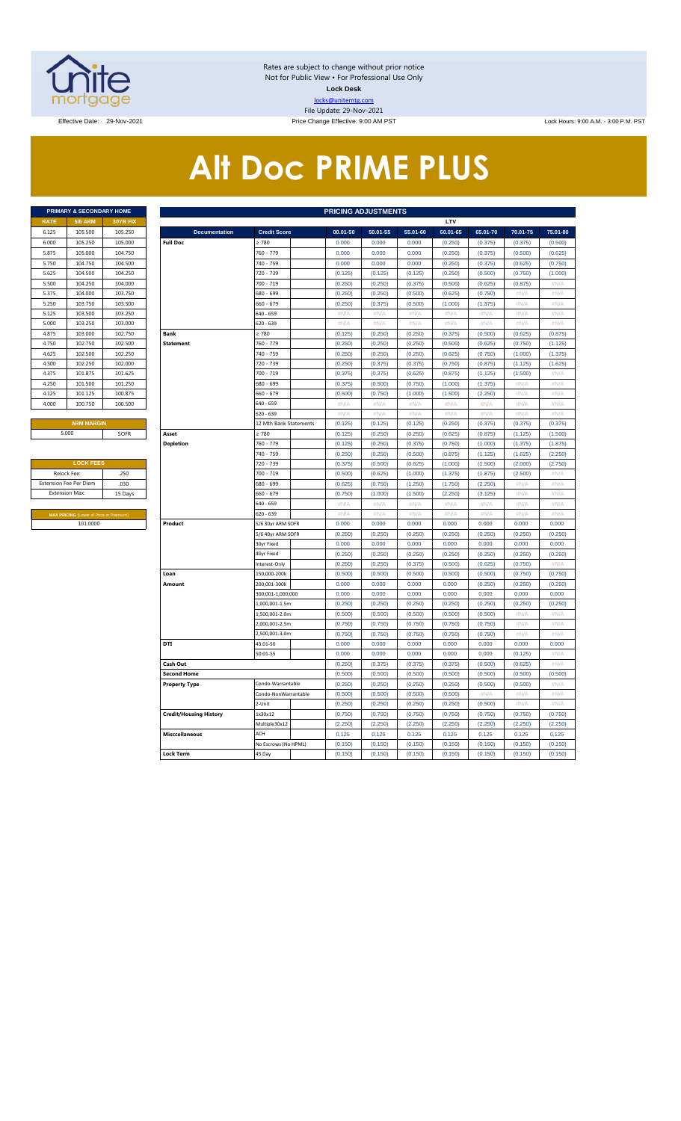

Rates are subject to change without prior notice Not for Public View • For Professional Use Only **Lock Desk** locks@unitemtg.com File Update: 29-Nov-2021

Effective: 9:00 AM PST Lock Hours: 9:00 AM . - 3:00 P.M. PST Lock Hours: 9:00 AM . - 3:00 P.M. PST

# **Alt Doc PRIME PLUS**

|             | <b>PRIMARY &amp; SECONDARY HOME</b> |                 |
|-------------|-------------------------------------|-----------------|
| <b>RATE</b> | <b>5/6 ARM</b>                      | <b>30YR FIX</b> |
| 6.125       | 105,500                             | 105.250         |
| 6.000       | 105.250                             | 105.000         |
| 5.875       | 105,000                             | 104.750         |
| 5.750       | 104.750                             | 104.500         |
| 5.625       | 104.500                             | 104.250         |
| 5.500       | 104.250                             | 104.000         |
| 5.375       | 104.000                             | 103.750         |
| 5.250       | 103.750                             | 103.500         |
| 5.125       | 103.500                             | 103.250         |
| 5.000       | 103.250                             | 103,000         |
| 4.875       | 103,000                             | 102.750         |
| 4.750       | 102.750                             | 102.500         |
| 4.625       | 102,500                             | 102.250         |
| 4.500       | 102.250                             | 102.000         |
| 4.375       | 101.875                             | 101.625         |
| 4.250       | 101.500                             | 101.250         |
| 4.125       | 101.125                             | 100.875         |
| 4.000       | 100.750                             | 100.500         |
|             |                                     |                 |

| <b>LOCK FEES</b>                               |         |
|------------------------------------------------|---------|
| Relock Fee:                                    | .250    |
| <b>Extension Fee Per Diem</b>                  | .030    |
| <b>Extension Max:</b>                          | 15 Days |
|                                                |         |
| <b>MAX PRICING (Lower of Price or Premium)</b> |         |
| 101.0000                                       |         |

|                | PRIMARY & SECONDARY HOME                |          |                               |                        |                           | <b>PRICING ADJUSTMENTS</b> |          |                           |          |          |             |
|----------------|-----------------------------------------|----------|-------------------------------|------------------------|---------------------------|----------------------------|----------|---------------------------|----------|----------|-------------|
| RATE           | <b>5/6 ARM</b>                          | 30YR FIX |                               |                        |                           |                            |          | LTV                       |          |          |             |
| 6.125          | 105.500                                 | 105.250  | <b>Documentation</b>          | <b>Credit Score</b>    | 00.01-50                  | 50.01-55                   | 55.01-60 | 60.01-65                  | 65.01-70 | 70.01-75 | 75.01-80    |
| 6.000          | 105.250                                 | 105.000  | <b>Full Doc</b>               | >780                   | 0.000                     | 0.000                      | 0.000    | (0.250)                   | (0.375)  | (0.375)  | (0.500)     |
| 5.875          | 105.000                                 | 104.750  |                               | 760 - 779              | 0.000                     | 0.000                      | 0.000    | (0.250)                   | (0.375)  | (0.500)  | (0.625)     |
| 5.750          | 104.750                                 | 104.500  |                               | 740 - 759              | 0.000                     | 0.000                      | 0.000    | (0.250)                   | (0.375)  | (0.625)  | (0.750)     |
| 5.625          | 104.500                                 | 104.250  |                               | 720 - 739              | (0.125)                   | (0.125)                    | (0.125)  | (0.250)                   | (0.500)  | (0.750)  | (1.000)     |
| 5.500          | 104.250                                 | 104.000  |                               | 700 - 719              | (0.250)                   | (0.250)                    | (0.375)  | (0.500)                   | (0.625)  | (0.875)  | $\#N/\beta$ |
| 5.375          | 104.000                                 | 103.750  |                               | 680 - 699              | (0.250)                   | (0.250)                    | (0.500)  | (0.625)                   | (0.750)  | #N//     | #N/A        |
| 5.250          | 103.750                                 | 103.500  |                               | 660 - 679              | (0.250)                   | (0.375)                    | (0.500)  | (1.000)                   | (1.375)  | #N/A     | #N/A        |
| 5.125          | 103.500                                 | 103.250  |                               | 640 - 659              | $\#N/A$                   | #N/A                       | #N/A     | $\#N/A$                   | #N/A     | #N/A     | #N/A        |
| 5.000          | 103.250                                 | 103.000  |                               | 620 - 639              | #N/A                      | #N/A                       | #N/A     | #N/A                      | $\#N/A$  | #N/A     | $\#N/A$     |
| 4.875          | 103,000                                 | 102.750  | <b>Bank</b>                   | $\geq 780$             | (0.125)                   | (0.250)                    | (0.250)  | (0.375)                   | (0.500)  | (0.625)  | (0.875)     |
| 4.750          | 102.750                                 | 102.500  | <b>Statement</b>              | 760 - 779              | (0.250)                   | (0.250)                    | (0.250)  | (0.500)                   | (0.625)  | (0.750)  | (1.125)     |
| 4.625          | 102.500                                 | 102.250  |                               | 740 - 759              | (0.250)                   | (0.250)                    | (0.250)  | (0.625)                   | (0.750)  | (1.000)  | (1.375)     |
| 4.500          | 102.250                                 | 102.000  |                               | 720 - 739              | (0.250)                   | (0.375)                    | (0.375)  | (0.750)                   | (0.875)  | (1.125)  | (1.625)     |
| 4.375          | 101.875                                 | 101.625  |                               | 700 - 719              | (0.375)                   | (0.375)                    | (0.625)  | (0.875)                   | (1.125)  | (1.500)  | $\#N/A$     |
| 4.250          | 101.500                                 | 101.250  |                               | 680 - 699              | (0.375)                   | (0.500)                    | (0.750)  | (1.000)                   | (1.375)  | #N/A     | #N/A        |
| 4.125          | 101.125                                 | 100.875  |                               | 660 - 679              | (0.500)                   | (0.750)                    | (1.000)  | (1.500)                   | (2.250)  | # $N/A$  | #N/A        |
| 4.000          | 100.750                                 | 100.500  |                               | $640 - 659$            | #N/A                      | #N/A                       | $\#N/A$  | $\#N/A$                   | #N/A     | #N/A     | #N/A        |
|                |                                         |          |                               | $620 - 639$            | $\#N/A$                   | $\#N/A$                    | $\#N/A$  | $\#N/A$                   | $\#N/A$  | #N/A     | $\#N/A$     |
|                | <b>ARM MARGIN</b>                       |          |                               | 12 Mth Bank Statements | (0.125)                   | (0.125)                    | (0.125)  | (0.250)                   | (0.375)  | (0.375)  | (0.375)     |
|                | 5.000                                   | SOFR     | Asset                         | >780                   | (0.125)                   | (0.250)                    | (0.250)  | (0.625)                   | (0.875)  | (1.125)  | (1.500)     |
|                |                                         |          | <b>Depletion</b>              | 760 - 779              | (0.125)                   | (0.250)                    | (0.375)  | (0.750)                   | (1.000)  | (1.375)  | (1.875)     |
|                |                                         |          |                               | 740 - 759              | (0.250)                   | (0.250)                    | (0.500)  | (0.875)                   | (1.125)  | (1.625)  | (2.250)     |
|                | <b>LOCK FEES</b>                        |          |                               | 720 - 739              | (0.375)                   | (0.500)                    | (0.625)  | (1.000)                   | (1.500)  | (2.000)  | (2.750)     |
| Relock Fee:    |                                         | .250     |                               | 700 - 719              | (0.500)                   | (0.625)                    | (1.000)  | (1.375)                   | (1.875)  | (2.500)  | $\#N/A$     |
|                | xtension Fee Per Diem                   | .030     |                               | 680 - 699              | (0.625)                   | (0.750)                    | (1.250)  | (1.750)                   | (2.250)  | #N//     | #N/A        |
| Extension Max: |                                         | 15 Days  |                               | 660 - 679              | (0.750)                   | (1.000)                    | (1.500)  | (2.250)                   | (3.125)  | #N/A     | #N/A        |
|                |                                         |          |                               | 640 - 659              | $\#N/A$                   | #N/A                       | $\#N/A$  | $\#N/A$                   | $\#N/A$  | #N/A     | #N/A        |
|                | MAX PRICING (Lower of Price or Premium) |          |                               | 620 - 639              | $\#\mathsf{N}/\mathsf{A}$ | # $N/A$                    | $\#N/A$  | $\#\mathsf{N}/\mathsf{A}$ | #N/A     | #N/A     | # $N/A$     |
|                | 101.0000                                |          | Product                       | 5/6 30yr ARM SOFR      | 0.000                     | 0.000                      | 0.000    | 0.000                     | 0.000    | 0.000    | 0.000       |
|                |                                         |          |                               | 5/6 40yr ARM SOFR      | (0.250)                   | (0.250)                    | (0.250)  | (0.250)                   | (0.250)  | (0.250)  | (0.250)     |
|                |                                         |          |                               | 30yr Fixed             | 0.000                     | 0.000                      | 0.000    | 0.000                     | 0.000    | 0.000    | 0.000       |
|                |                                         |          |                               | 40yr Fixed             | (0.250)                   | (0.250)                    | (0.250)  | (0.250)                   | (0.250)  | (0.250)  | (0.250)     |
|                |                                         |          |                               | Interest-Only          | (0.250)                   | (0.250)                    | (0.375)  | (0.500)                   | (0.625)  | (0.750)  | #N/A        |
|                |                                         |          | Loan                          | 150,000-200k           | (0.500)                   | (0.500)                    | (0.500)  | (0.500)                   | (0.500)  | (0.750)  | (0.750)     |
|                |                                         |          | Amount                        | 200,001-300k           | 0.000                     | 0.000                      | 0.000    | 0.000                     | (0.250)  | (0.250)  | (0.250)     |
|                |                                         |          |                               | 300,001-1,000,000      | 0.000                     | 0.000                      | 0.000    | 0.000                     | 0.000    | 0.000    | 0.000       |
|                |                                         |          |                               | 1,000,001-1.5m         | (0.250)                   | (0.250)                    | (0.250)  | (0.250)                   | (0.250)  | (0.250)  | (0.250)     |
|                |                                         |          |                               | 1,500,001-2.0m         | (0.500)                   | (0.500)                    | (0.500)  | (0.500)                   | (0.500)  | $\#N$ /  | $\#N$ //    |
|                |                                         |          |                               | 2,000,001-2.5m         | (0.750)                   | (0.750)                    | (0.750)  | (0.750)                   | (0.750)  | #N/A     | #N/A        |
|                |                                         |          |                               | ,500,001-3.0m          | (0.750)                   | (0.750)                    | (0.750)  | (0.750)                   | (0.750)  | #N//     | $\#N/\beta$ |
|                |                                         |          | DTI                           | 43.01-50               | 0.000                     | 0.000                      | 0.000    | 0.000                     | 0.000    | 0.000    | 0.000       |
|                |                                         |          |                               | 50.01-55               | 0.000                     | 0.000                      | 0.000    | 0.000                     | 0.000    | (0.125)  | #N/A        |
|                |                                         |          | Cash Out                      |                        | (0.250)                   | (0.375)                    | (0.375)  | (0.375)                   | (0.500)  | (0.625)  | #N/A        |
|                |                                         |          | <b>Second Home</b>            |                        | (0.500)                   | (0.500)                    | (0.500)  | (0.500)                   | (0.500)  | (0.500)  | (0.500)     |
|                |                                         |          | <b>Property Type</b>          | Condo-Warrantable      | (0.250)                   | (0.250)                    | (0.250)  | (0.250)                   | (0.500)  | (0.500)  | $\#N/A$     |
|                |                                         |          |                               | Condo-NonWarrantable   | (0.500)                   | (0.500)                    | (0.500)  | (0.500)                   | #N/A     | #N/A     | #N/A        |
|                |                                         |          |                               | 2-Unit                 | (0.250)                   | (0.250)                    | (0.250)  | (0.250)                   | (0.500)  | #N/A     | #N/A        |
|                |                                         |          | <b>Credit/Housing History</b> | 1x30x12                | (0.750)                   | (0.750)                    | (0.750)  | (0.750)                   | (0.750)  | (0.750)  | (0.750)     |
|                |                                         |          |                               | Multiple30x12          | (2.250)                   | (2.250)                    | (2.250)  | (2.250)                   | (2.250)  | (2.250)  | (2.250)     |
|                |                                         |          | <b>Misccellaneous</b>         | ACH                    | 0.125                     | 0.125                      | 0.125    | 0.125                     | 0.125    | 0.125    | 0.125       |
|                |                                         |          |                               | No Escrows (No HPML)   | (0.150)                   | (0.150)                    | (0.150)  | (0.150)                   | (0.150)  | (0.150)  | (0.150)     |
|                |                                         |          | <b>Lock Term</b>              | 45 Day                 | (0.150)                   | (0.150)                    | (0.150)  | (0.150)                   | (0.150)  | (0.150)  | (0.150)     |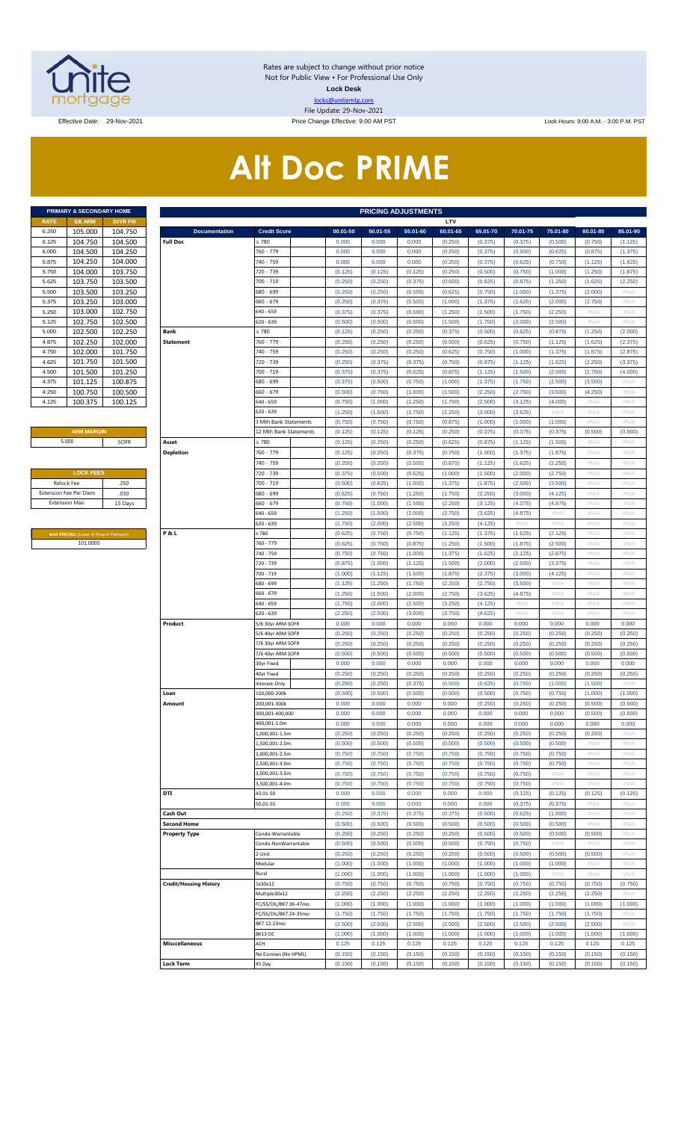

Rates are subject to change without prior notice Not for Public View • For Professional Use Only **Lock Desk** locks@unitemtg.com File Update: 29-Nov-2021

Effective Date: 29-Nov-2021 Price Change Effective: 9:00 AM PST Lock Hours: 9:00 A.M. - 3:00 P.M. PST

# **Alt Doc PRIME**

| <b>PRIMARY &amp; SECONDARY HOME</b> |                |                 |  |  |  |  |  |  |  |  |  |  |
|-------------------------------------|----------------|-----------------|--|--|--|--|--|--|--|--|--|--|
| <b>RATE</b>                         | <b>5/6 ARM</b> | <b>30YR FIX</b> |  |  |  |  |  |  |  |  |  |  |
| 6.250                               | 105.000        | 104.750         |  |  |  |  |  |  |  |  |  |  |
| 6.125                               | 104.750        | 104.500         |  |  |  |  |  |  |  |  |  |  |
| 6.000                               | 104.500        | 104.250         |  |  |  |  |  |  |  |  |  |  |
| 5.875                               | 104.250        | 104.000         |  |  |  |  |  |  |  |  |  |  |
| 5.750                               | 104.000        | 103.750         |  |  |  |  |  |  |  |  |  |  |
| 5.625                               | 103.750        | 103.500         |  |  |  |  |  |  |  |  |  |  |
| 5.500                               | 103.500        | 103.250         |  |  |  |  |  |  |  |  |  |  |
| 5.375                               | 103.250        | 103.000         |  |  |  |  |  |  |  |  |  |  |
| 5.250                               | 103.000        | 102.750         |  |  |  |  |  |  |  |  |  |  |
| 5.125                               | 102.750        | 102.500         |  |  |  |  |  |  |  |  |  |  |
| 5.000                               | 102.500        | 102.250         |  |  |  |  |  |  |  |  |  |  |
| 4.875                               | 102.250        | 102.000         |  |  |  |  |  |  |  |  |  |  |
| 4.750                               | 102.000        | 101.750         |  |  |  |  |  |  |  |  |  |  |
| 4.625                               | 101.750        | 101.500         |  |  |  |  |  |  |  |  |  |  |
| 4.500                               | 101.500        | 101.250         |  |  |  |  |  |  |  |  |  |  |
| 4.375                               | 101.125        | 100.875         |  |  |  |  |  |  |  |  |  |  |
| 4.250                               | 100.750        | 100.500         |  |  |  |  |  |  |  |  |  |  |
| 4.125                               | 100.375        | 100.125         |  |  |  |  |  |  |  |  |  |  |

#### **ARM MARGIN** 5.000

| <b>LOCK FEES</b>              |         |
|-------------------------------|---------|
| Relock Fee:                   | 250     |
| <b>Extension Fee Per Diem</b> | .030    |
| <b>Extension Max:</b>         | 15 Days |
|                               |         |

**MAX PRICING** (Lower of Price or Premium) 101.0000

|                       | PRIMARY & SECONDARY HOME                            |                    |                                         |                                 |                    | <b>PRICING ADJUSTMENTS</b> |                    |                    |                    |                    |                    |                    |                    |
|-----------------------|-----------------------------------------------------|--------------------|-----------------------------------------|---------------------------------|--------------------|----------------------------|--------------------|--------------------|--------------------|--------------------|--------------------|--------------------|--------------------|
| RATE                  | <b>5/6 ARM</b>                                      | 30YR FIX           |                                         |                                 |                    |                            |                    | LTV                |                    |                    |                    |                    |                    |
| 6.250                 | 105.000<br>104.750                                  | 104.750            | <b>Documentation</b><br><b>Full Doc</b> | <b>Credit Score</b><br>: 780    | 00.01-50<br>0.000  | 50.01-55<br>0.000          | 55.01-60<br>0.000  | 60.01-65           | 65.01-70           | 70.01-75           | 75.01-80           | 80.01-85           | 85.01-90           |
| 6.125<br>6.000        | 104.500                                             | 104.500<br>104.250 |                                         | 760 - 779                       | 0.000              | 0.000                      | 0.000              | (0.250)<br>(0.250) | (0.375)<br>(0.375) | (0.375)<br>(0.500) | (0.500)<br>(0.625) | (0.750)<br>(0.875) | (1.125)<br>(1.375) |
| 5.875                 | 104.250                                             | 104.000            |                                         | 740 - 759                       | 0.000              | 0.000                      | 0.000              | (0.250)            | (0.375)            | (0.625)            | (0.750)            | (1.125)            | (1.625)            |
| 5.750                 | 104.000                                             | 103.750            |                                         | 720 - 739                       | (0.125)            | (0.125)                    | (0.125)            | (0.250)            | (0.500)            | (0.750)            | (1.000)            | (1.250)            | (1.875)            |
| 5.625                 | 103.750                                             | 103.500            |                                         | 700 - 719                       | (0.250)            | (0.250)                    | (0.375)            | (0.500)            | (0.625)            | (0.875)            | (1.250)            | (1.625)            | (2.250)            |
| 5.500                 | 103.500                                             | 103.250            |                                         | 680 - 699                       | (0.250)            | (0.250)                    | (0.500)            | (0.625)            | (0.750)            | (1.000)            | (1.375)            | (2.000)            | #N/A               |
| 5.375                 | 103.250                                             | 103.000            |                                         | 660 - 679                       | (0.250)            | (0.375)                    | (0.500)            | (1.000)            | (1.375)            | (1.625)            | (2.000)            | (2.750)            | #N/A               |
| 5.250                 | 103.000                                             | 102.750            |                                         | 640 - 659                       | (0.375)            | (0.375)                    | (0.500)            | (1.250)            | (1.500)            | (1.750)            | (2.250)            | #N/A               | #N/A               |
| 5.125                 | 102.750                                             | 102.500            |                                         | 620 - 639                       | (0.500)            | (0.500)                    | (0.500)            | (1.500)            | (1.750)            | (2.000)            | (2.500)            | #N/A               | #N/A               |
| 5.000                 | 102.500                                             | 102.250            | Bank                                    | : 780                           | (0.125)            | (0.250)                    | (0.250)            | (0.375)            | (0.500)            | (0.625)            | (0.875)            | (1.250)            | (2.000)            |
| 4.875                 | 102.250                                             | 102.000            | <b>Statement</b>                        | 760 - 779                       | (0.250)            | (0.250)                    | (0.250)            | (0.500)            | (0.625)            | (0.750)            | (1.125)            | (1.625)            | (2.375)            |
| 4.750                 | 102.000                                             | 101.750            |                                         | 740 - 759                       | (0.250)            | (0.250)                    | (0.250)            | (0.625)            | (0.750)            | (1.000)            | (1.375)            | (1.875)            | (2.875)            |
| 4.625                 | 101.750                                             | 101.500            |                                         | 720 - 739                       | (0.250)            | (0.375)                    | (0.375)            | (0.750)            | (0.875)            | (1.125)            | (1.625)            | (2.250)            | (3.375)            |
| 4.500                 | 101.500                                             | 101.250            |                                         | 700 - 719                       | (0.375)            | (0.375)                    | (0.625)            | (0.875)            | (1.125)            | (1.500)            | (2.000)            | (2.750)            | (4.000)            |
| 4.375                 | 101.125                                             | 100.875            |                                         | 680 - 699                       | (0.375)            | (0.500)                    | (0.750)            | (1.000)            | (1.375)            | (1.750)            | (2.500)            | (3.500)            | #N/A               |
| 4.250                 | 100.750                                             | 100.500            |                                         | 660 - 679                       | (0.500)            | (0.750)                    | (1.000)            | (1.500)            | (2.250)            | (2.750)            | (3.500)            | (4.250)            | #N/A               |
| 4.125                 | 100.375                                             | 100.125            |                                         | 640 - 659                       | (0.750)            | (1.000)                    | (1.250)            | (1.750)            | (2.500)            | (3.125)            | (4.000)            | #N/A               | #N/A               |
|                       |                                                     |                    |                                         | 620 - 639                       | (1.250)            | (1.500)                    | (1.750)            | (2.250)            | (3.000)            | (3.625)            | #N/A               | #N/A               | #N/A               |
|                       |                                                     |                    |                                         | 3 Mth Bank Statements           | (0.750)            | (0.750)                    | (0.750)            | (0.875)            | (1.000)            | (1.000)            | (1.000)            | #N/A               | #N/A               |
|                       | <b>ARM MARGIN</b>                                   |                    |                                         | 12 Mth Bank Statements          | (0.125)            | (0.125)                    | (0.125)            | (0.250)            | (0.375)            | (0.375)            | (0.375)            | (0.500)            | (0.500)            |
| 5.000                 |                                                     | SOFR               | Asset                                   | 2780                            | (0.125)            | (0.250)                    | (0.250)            | (0.625)            | (0.875)            | (1.125)            | (1.500)            | #N/A               | #N/A               |
|                       |                                                     |                    | <b>Depletion</b>                        | 760 - 779                       | (0.125)            | (0.250)                    | (0.375)            | (0.750)            | (1.000)            | (1.375)            | (1.875)            | #N/A               | #N/A               |
|                       |                                                     |                    |                                         | 740 - 759                       | (0.250)            | (0.250)                    | (0.500)            | (0.875)            | (1.125)            | (1.625)            | (2.250)            | $\#N/A$            | #N/A               |
|                       | <b>LOCK FEES</b>                                    |                    |                                         | 720 - 739                       | (0.375)            | (0.500)                    | (0.625)            | (1.000)            | (1.500)            | (2.000)            | (2.750)            | $\#N/A$            | #N/A               |
| Relock Fee:           | xtension Fee Per Diem                               | .250               |                                         | 700 - 719                       | (0.500)            | (0.625)                    | (1.000)            | (1.375)            | (1.875)            | (2.500)            | (3.500)            | $\#N/A$<br># $N/A$ | #N/A               |
| <b>Extension Max:</b> |                                                     | .030<br>15 Days    |                                         | 680 - 699<br>660 - 679          | (0.625)<br>(0.750) | (0.750)<br>(1.000)         | (1.250)<br>(1.500) | (1.750)<br>(2.250) | (2.250)<br>(3.125) | (3.000)<br>(4.375) | (4.125)<br>(4.875) | $\#N/A$            | #N/A<br>#N/A       |
|                       |                                                     |                    |                                         | 640 - 659                       | (1.250)            | (1.500)                    | (2.000)            | (2.750)            | (3.625)            | (4.875)            | #N/A               | $\#N/A$            | #N/A               |
|                       |                                                     |                    |                                         | 620 - 639                       | (1.750)            | (2.000)                    | (2.500)            | (3.250)            | (4.125)            | #N/A               | #N/A               | $\#N/A$            | #N/A               |
|                       |                                                     |                    | P&L                                     | 2780                            | (0.625)            | (0.750)                    | (0.750)            | (1.125)            | (1.375)            | (1.625)            | (2.125)            | $\#N/A$            | #N/A               |
|                       | MAX PRICING (Lower of Price or Premium)<br>101.0000 |                    |                                         | 760 - 779                       | (0.625)            | (0.750)                    | (0.875)            | (1.250)            | (1.500)            | (1.875)            | (2.500)            | $\#N/A$            | #N/A               |
|                       |                                                     |                    |                                         | 740 - 759                       | (0.750)            | (0.750)                    | (1.000)            | (1.375)            | (1.625)            | (2.125)            | (2.875)            | # $N/A$            | #N/A               |
|                       |                                                     |                    |                                         | 720 - 739                       | (0.875)            | (1.000)                    | (1.125)            | (1.500)            | (2.000)            | (2.500)            | (3.375)            | $\#N/A$            | #N/A               |
|                       |                                                     |                    |                                         | 700 - 719                       | (1.000)            | (1.125)                    | (1.500)            | (1.875)            | (2.375)            | (3.000)            | (4.125)            | $\#N/A$            | #N/A               |
|                       |                                                     |                    |                                         | 680 - 699                       | (1.125)            | (1.250)                    | (1.750)            | (2.250)            | (2.750)            | (3.500)            | #N/A               | $\#N/A$            | #N/A               |
|                       |                                                     |                    |                                         | 660 - 679                       | (1.250)            | (1.500)                    | (2.000)            | (2.750)            | (3.625)            | (4.875)            | #N/A               | $\#N/A$            | #N/A               |
|                       |                                                     |                    |                                         | 640 - 659                       | (1.750)            | (2.000)                    | (2.500)            | (3.250)            | (4.125)            | #N/A               | #N/A               | $\#N/A$            | #N/A               |
|                       |                                                     |                    |                                         | 620 - 639                       | (2.250)            | (2.500)                    | (3.000)            | (3.750)            | (4.625)            | #N/A               | #N/A               | $\#N/A$            | #N/A               |
|                       |                                                     |                    | Product                                 | 5/6 30yr ARM SOFR               | 0.000              | 0.000                      | 0.000              | 0.000              | 0.000              | 0.000              | 0.000              | 0.000              | 0.000              |
|                       |                                                     |                    |                                         | 5/6 40yr ARM SOFR               | (0.250)            | (0.250)                    | (0.250)            | (0.250)            | (0.250)            | (0.250)            | (0.250)            | (0.250)            | (0.250)            |
|                       |                                                     |                    |                                         | 7/6 30yr ARM SOFR               | (0.250)            | (0.250)                    | (0.250)            | (0.250)            | (0.250)            | (0.250)            | (0.250)            | (0.250)            | (0.250)            |
|                       |                                                     |                    |                                         | 7/6 40yr ARM SOFR               | (0.500)            | (0.500)                    | (0.500)            | (0.500)            | (0.500)            | (0.500)            | (0.500)            | (0.500)            | (0.500)            |
|                       |                                                     |                    |                                         | 30yr Fixed                      | 0.000              | 0.000                      | 0.000              | 0.000              | 0.000              | 0.000              | 0.000              | 0.000              | 0.000              |
|                       |                                                     |                    |                                         | 40yr Fixed                      | (0.250)            | (0.250)                    | (0.250)            | (0.250)            | (0.250)            | (0.250)            | (0.250)            | (0.250)            | (0.250)            |
|                       |                                                     |                    |                                         | nterest-Only                    | (0.250)            | (0.250)                    | (0.375)            | (0.500)            | (0.625)            | (0.750)            | (1.000)            | (1.500)            | #N/A               |
|                       |                                                     |                    | Loan                                    | 150,000-200k                    | (0.500)            | (0.500)                    | (0.500)            | (0.500)            | (0.500)            | (0.750)            | (0.750)            | (1.000)            | (1.000)            |
|                       |                                                     |                    | Amount                                  | 200,001-300k<br>300,001-400,000 | 0.000<br>0.000     | 0.000<br>0.000             | 0.000<br>0.000     | 0.000<br>0.000     | (0.250)<br>0.000   | (0.250)<br>0.000   | (0.250)<br>0.000   | (0.500)<br>(0.500) | (0.500)<br>(0.500) |
|                       |                                                     |                    |                                         | 400,001-1.0m                    | 0.000              | 0.000                      | 0.000              | 0.000              | 0.000              | 0.000              | 0.000              | 0.000              | 0.000              |
|                       |                                                     |                    |                                         | .,000,001-1.5m                  | (0.250)            | (0.250)                    | (0.250)            | (0.250)            | (0.250)            | (0.250)            | (0.250)            | (0.250)            | #N/A               |
|                       |                                                     |                    |                                         | ,500,001-2.0m                   | (0.500)            | (0.500)                    | (0.500)            | (0.500)            | (0.500)            | (0.500)            | (0.500)            | $\#N/A$            | #N/A               |
|                       |                                                     |                    |                                         | .000,001-2.5m                   | (0.750)            | (0.750)                    | (0.750)            | (0.750)            | (0.750)            | (0.750)            | (0.750)            | # $N/A$            | #N/A               |
|                       |                                                     |                    |                                         | ,500,001-3.0m                   | (0.750)            | (0.750)                    | (0.750)            | (0.750)            | (0.750)            | (0.750)            | (0.750)            | $\#N/A$            | #N/A               |
|                       |                                                     |                    |                                         | 3,000,001-3.5m                  | (0.750)            | (0.750)                    | (0.750)            | (0.750)            | (0.750)            | (0.750)            | #N/A               | # $N/A$            | #N/A               |
|                       |                                                     |                    |                                         | 500,001-4.0m                    | (0.750)            | (0.750)                    | (0.750)            | (0.750)            | (0.750)            | (0.750)            | #N/A               | $\#N/A$            | #N/A               |
|                       |                                                     |                    | DTI                                     | 43.01-50                        | 0.000              | 0.000                      | 0.000              | 0.000              | 0.000              | (0.125)            | (0.125)            | (0.125)            | (0.125)            |
|                       |                                                     |                    |                                         | 50.01-55                        | 0.000              | 0.000                      | 0.000              | 0.000              | 0.000              | (0.375)            | (0.375)            | $\#N/A$            | #N/A               |
|                       |                                                     |                    | Cash Out                                |                                 | (0.250)            | (0.375)                    | (0.375)            | (0.375)            | (0.500)            | (0.625)            | (1.000)            | # $N/A$            | #N/A               |
|                       |                                                     |                    | <b>Second Home</b>                      |                                 | (0.500)            | (0.500)                    | (0.500)            | (0.500)            | (0.500)            | (0.500)            | (0.500)            | $\#N/A$            | #N/A               |
|                       |                                                     |                    | <b>Property Type</b>                    | Condo-Warrantable               | (0.250)            | (0.250)                    | (0.250)            | (0.250)            | (0.500)            | (0.500)            | (0.500)            | (0.500)            | #N/A               |
|                       |                                                     |                    |                                         | Condo-NonWarrantable            | (0.500)            | (0.500)                    | (0.500)            | (0.500)            | (0.750)            | (0.750)            | #N/A               | $\#N/A$            | #N/A               |
|                       |                                                     |                    |                                         | !-Unit                          | (0.250)            | (0.250)                    | (0.250)            | (0.250)            | (0.500)            | (0.500)            | (0.500)            | (0.500)            | #N/A               |
|                       |                                                     |                    |                                         | Modular                         | (1.000)            | (1.000)                    | (1.000)            | (1.000)            | (1.000)            | (1.000)            | (1.000)            | $\#N/A$            | #N/A               |
|                       |                                                     |                    |                                         | Rural                           | (1.000)            | (1.000)                    | (1.000)            | (1.000)            | (1.000)            | (1.000)            | #N/A               | #N/A               | # $N/A$            |
|                       |                                                     |                    | <b>Credit/Housing History</b>           | 1x30x12                         | (0.750)            | (0.750)                    | (0.750)            | (0.750)            | (0.750)            | (0.750)            | (0.750)            | (0.750)            | (0.750)            |
|                       |                                                     |                    |                                         | Multiple30x12                   | (2.250)            | (2.250)                    | (2.250)            | (2.250)            | (2.250)            | (2.250)            | (2.250)            | (2.250)            | #N/A               |
|                       |                                                     |                    |                                         | FC/SS/DIL/BK7 36-47mo           | (1.000)            | (1.000)                    | (1.000)            | (1.000)            | (1.000)            | (1.000)            | (1.000)            | (1.000)            | (1.000)            |
|                       |                                                     |                    |                                         | FC/SS/DIL/BK7 24-35mo           | (1.750)            | (1.750)                    | (1.750)            | (1.750)            | (1.750)            | (1.750)            | (1.750)            | (1.750)            | #N/A               |
|                       |                                                     |                    |                                         | BK7 12-23mo                     | (2.500)            | (2.500)                    | (2.500)            | (2.500)            | (2.500)            | (2.500)            | (2.500)            | (2.500)            | #N/A               |
|                       |                                                     |                    |                                         | BK13DC                          | (1.000)            | (1.000)                    | (1.000)            | (1.000)            | (1.000)            | (1.000)            | (1.000)            | (1.000)            | (1.000)            |
|                       |                                                     |                    | <b>Misccellaneous</b>                   | ACH                             | 0.125              | 0.125                      | 0.125              | 0.125              | 0.125              | 0.125              | 0.125              | 0.125              | 0.125              |
|                       |                                                     |                    |                                         | No Escrows (No HPML)            | (0.150)            | (0.150)                    | (0.150)            | (0.150)            | (0.150)            | (0.150)            | (0.150)            | (0.150)            | (0.150)            |
|                       |                                                     |                    | <b>Lock Term</b>                        | 45 Day                          | (0.150)            | (0.150)                    | (0.150)            | (0.150)            | (0.150)            | (0.150)            | (0.150)            | (0.150)            | (0.150)            |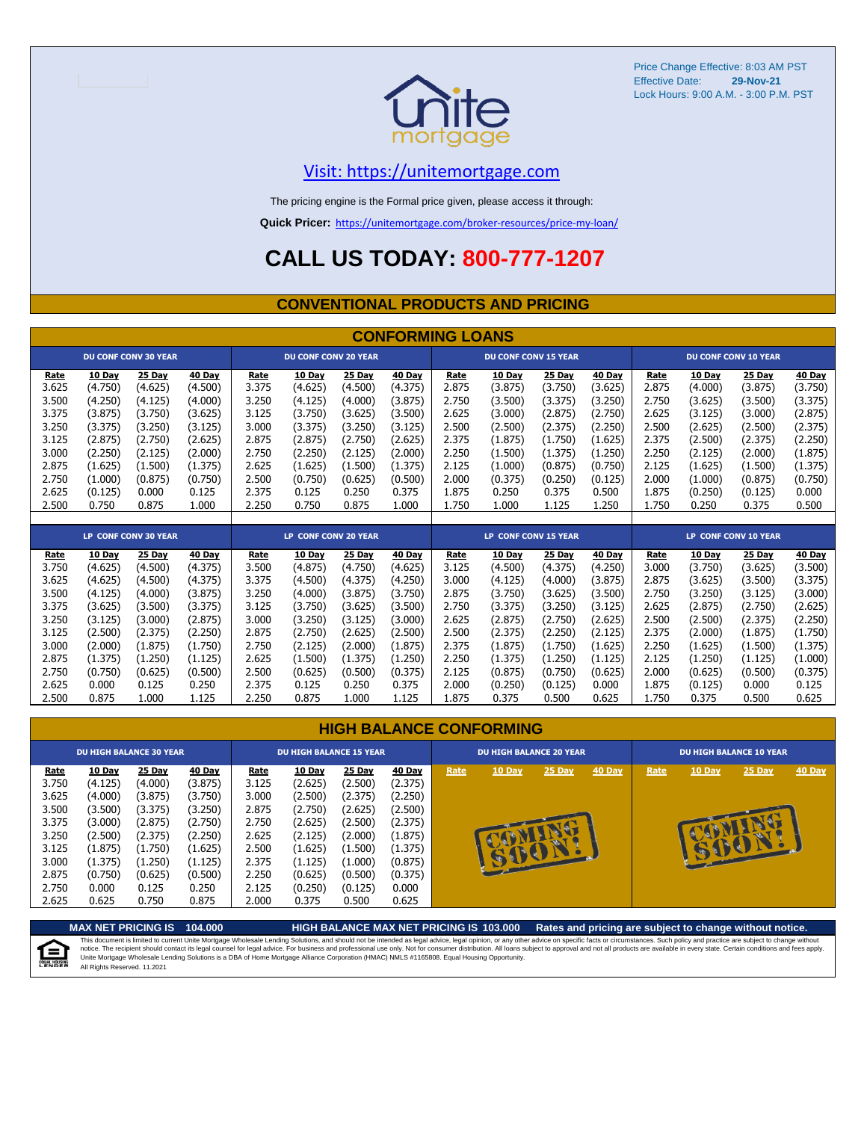

#### [V](https://unitemortgage.com/)isit: https://unitemortgage.com

The pricing engine is the Formal price given, please access it through:

**Quick Pricer:** [https://un](https://unitemortgage.com/broker-resources/price-my-loan/)itemortgage.com/broker-resources/price-my-loan/

### **CALL US TODAY: 800-777-1207**

#### **CONVENTIONAL PRODUCTS AND PRICING**

|                                                                                                         | <b>CONFORMING LOANS</b>                                                                                                     |                                                                                                                             |                                                                                                                             |                                                                                                         |                                                                                                                             |                                                                                                                             |                                                                                                                             |                                                                                                         |                                                                                                                               |                                                                                                                               |                                                                                                                             |                                                                                                         |                                                                                                                               |                                                                                                                             |                                                                                                                             |
|---------------------------------------------------------------------------------------------------------|-----------------------------------------------------------------------------------------------------------------------------|-----------------------------------------------------------------------------------------------------------------------------|-----------------------------------------------------------------------------------------------------------------------------|---------------------------------------------------------------------------------------------------------|-----------------------------------------------------------------------------------------------------------------------------|-----------------------------------------------------------------------------------------------------------------------------|-----------------------------------------------------------------------------------------------------------------------------|---------------------------------------------------------------------------------------------------------|-------------------------------------------------------------------------------------------------------------------------------|-------------------------------------------------------------------------------------------------------------------------------|-----------------------------------------------------------------------------------------------------------------------------|---------------------------------------------------------------------------------------------------------|-------------------------------------------------------------------------------------------------------------------------------|-----------------------------------------------------------------------------------------------------------------------------|-----------------------------------------------------------------------------------------------------------------------------|
|                                                                                                         |                                                                                                                             | <b>DU CONF CONV 30 YEAR</b>                                                                                                 |                                                                                                                             |                                                                                                         | <b>DU CONF CONV 20 YEAR</b>                                                                                                 |                                                                                                                             |                                                                                                                             |                                                                                                         | <b>DU CONF CONV 15 YEAR</b>                                                                                                   |                                                                                                                               |                                                                                                                             |                                                                                                         |                                                                                                                               | <b>DU CONF CONV 10 YEAR</b>                                                                                                 |                                                                                                                             |
| Rate<br>3.625<br>3.500<br>3.375<br>3.250<br>3.125<br>3.000<br>2.875<br>2.750<br>2.625                   | 10 Day<br>(4.750)<br>(4.250)<br>(3.875)<br>(3.375)<br>(2.875)<br>(2.250)<br>(1.625)<br>(1.000)<br>(0.125)                   | 25 Day<br>(4.625)<br>(4.125)<br>(3.750)<br>(3.250)<br>(2.750)<br>(2.125)<br>(1.500)<br>(0.875)<br>0.000                     | 40 Day<br>(4.500)<br>(4.000)<br>(3.625)<br>(3.125)<br>(2.625)<br>(2.000)<br>(1.375)<br>(0.750)<br>0.125                     | Rate<br>3.375<br>3.250<br>3.125<br>3.000<br>2.875<br>2.750<br>2.625<br>2.500<br>2.375                   | 10 Day<br>(4.625)<br>(4.125)<br>(3.750)<br>(3.375)<br>(2.875)<br>(2.250)<br>(1.625)<br>(0.750)<br>0.125                     | 25 Day<br>(4.500)<br>(4.000)<br>(3.625)<br>(3.250)<br>(2.750)<br>(2.125)<br>(1.500)<br>(0.625)<br>0.250                     | 40 Day<br>(4.375)<br>(3.875)<br>(3.500)<br>(3.125)<br>(2.625)<br>(2.000)<br>(1.375)<br>(0.500)<br>0.375                     | Rate<br>2.875<br>2.750<br>2.625<br>2.500<br>2.375<br>2.250<br>2.125<br>2.000<br>1.875                   | 10 Day<br>(3.875)<br>(3.500)<br>(3.000)<br>(2.500)<br>(1.875)<br>(1.500)<br>(1.000)<br>(0.375)<br>0.250                       | 25 Day<br>(3.750)<br>(3.375)<br>(2.875)<br>(2.375)<br>(1.750)<br>(1.375)<br>(0.875)<br>(0.250)<br>0.375                       | 40 Day<br>(3.625)<br>(3.250)<br>(2.750)<br>(2.250)<br>(1.625)<br>(1.250)<br>(0.750)<br>(0.125)<br>0.500                     | Rate<br>2.875<br>2.750<br>2.625<br>2.500<br>2.375<br>2.250<br>2.125<br>2.000<br>1.875                   | 10 Day<br>(4.000)<br>(3.625)<br>(3.125)<br>(2.625)<br>(2.500)<br>(2.125)<br>(1.625)<br>(1.000)<br>(0.250)                     | 25 Day<br>(3.875)<br>(3.500)<br>(3.000)<br>(2.500)<br>(2.375)<br>(2.000)<br>(1.500)<br>(0.875)<br>(0.125)                   | 40 Day<br>(3.750)<br>(3.375)<br>(2.875)<br>(2.375)<br>(2.250)<br>(1.875)<br>(1.375)<br>(0.750)<br>0.000                     |
| 2.500                                                                                                   | 0.750                                                                                                                       | 0.875                                                                                                                       | 1.000                                                                                                                       | 2.250                                                                                                   | 0.750                                                                                                                       | 0.875                                                                                                                       | 1.000                                                                                                                       | 1.750                                                                                                   | 1.000                                                                                                                         | 1.125                                                                                                                         | 1.250                                                                                                                       | 1.750                                                                                                   | 0.250                                                                                                                         | 0.375                                                                                                                       | 0.500                                                                                                                       |
|                                                                                                         |                                                                                                                             | <b>LP CONF CONV 30 YEAR</b>                                                                                                 |                                                                                                                             |                                                                                                         | <b>LP CONF CONV 20 YEAR</b>                                                                                                 |                                                                                                                             |                                                                                                                             |                                                                                                         | <b>LP CONF CONV 15 YEAR</b>                                                                                                   |                                                                                                                               |                                                                                                                             |                                                                                                         |                                                                                                                               | LP CONF CONV 10 YEAR                                                                                                        |                                                                                                                             |
| Rate<br>3.750<br>3.625<br>3.500<br>3.375<br>3.250<br>3.125<br>3.000<br>2.875<br>2.750<br>2.625<br>2.500 | 10 Day<br>(4.625)<br>(4.625)<br>(4.125)<br>(3.625)<br>(3.125)<br>(2.500)<br>(2.000)<br>(1.375)<br>(0.750)<br>0.000<br>0.875 | 25 Day<br>(4.500)<br>(4.500)<br>(4.000)<br>(3.500)<br>(3.000)<br>(2.375)<br>(1.875)<br>(1.250)<br>(0.625)<br>0.125<br>1.000 | 40 Day<br>(4.375)<br>(4.375)<br>(3.875)<br>(3.375)<br>(2.875)<br>(2.250)<br>(1.750)<br>(1.125)<br>(0.500)<br>0.250<br>1.125 | Rate<br>3.500<br>3.375<br>3.250<br>3.125<br>3.000<br>2.875<br>2.750<br>2.625<br>2.500<br>2.375<br>2.250 | 10 Day<br>(4.875)<br>(4.500)<br>(4.000)<br>(3.750)<br>(3.250)<br>(2.750)<br>(2.125)<br>(1.500)<br>(0.625)<br>0.125<br>0.875 | 25 Day<br>(4.750)<br>(4.375)<br>(3.875)<br>(3.625)<br>(3.125)<br>(2.625)<br>(2.000)<br>(1.375)<br>(0.500)<br>0.250<br>1.000 | 40 Day<br>(4.625)<br>(4.250)<br>(3.750)<br>(3.500)<br>(3.000)<br>(2.500)<br>(1.875)<br>(1.250)<br>(0.375)<br>0.375<br>1.125 | Rate<br>3.125<br>3.000<br>2.875<br>2.750<br>2.625<br>2.500<br>2.375<br>2.250<br>2.125<br>2.000<br>1.875 | 10 Dav<br>(4.500)<br>(4.125)<br>(3.750)<br>(3.375)<br>(2.875)<br>(2.375)<br>(1.875)<br>(1.375)<br>(0.875)<br>(0.250)<br>0.375 | 25 Day<br>(4.375)<br>(4.000)<br>(3.625)<br>(3.250)<br>(2.750)<br>(2.250)<br>(1.750)<br>(1.250)<br>(0.750)<br>(0.125)<br>0.500 | 40 Day<br>(4.250)<br>(3.875)<br>(3.500)<br>(3.125)<br>(2.625)<br>(2.125)<br>(1.625)<br>(1.125)<br>(0.625)<br>0.000<br>0.625 | Rate<br>3.000<br>2.875<br>2.750<br>2.625<br>2.500<br>2.375<br>2.250<br>2.125<br>2.000<br>1.875<br>1.750 | 10 Day<br>(3.750)<br>(3.625)<br>(3.250)<br>(2.875)<br>(2.500)<br>(2.000)<br>(1.625)<br>(1.250)<br>(0.625)<br>(0.125)<br>0.375 | 25 Day<br>(3.625)<br>(3.500)<br>(3.125)<br>(2.750)<br>(2.375)<br>(1.875)<br>(1.500)<br>(1.125)<br>(0.500)<br>0.000<br>0.500 | 40 Day<br>(3.500)<br>(3.375)<br>(3.000)<br>(2.625)<br>(2.250)<br>(1.750)<br>(1.375)<br>(1.000)<br>(0.375)<br>0.125<br>0.625 |

| <b>HIGH BALANCE CONFORMING</b> |  |  |
|--------------------------------|--|--|
|                                |  |  |

|                                                                                                | <b>DU HIGH BALANCE 30 YEAR</b>                                                                                   |                                                                                                                  |                                                                                                                  | <b>DU HIGH BALANCE 15 YEAR</b>                                                                 |                                                                                                                           |                                                                                                                    |                                                                                                                  |      | <b>DU HIGH BALANCE 20 YEAR</b> |              |               |      | <b>DU HIGH BALANCE 10 YEAR</b> |          |               |  |  |
|------------------------------------------------------------------------------------------------|------------------------------------------------------------------------------------------------------------------|------------------------------------------------------------------------------------------------------------------|------------------------------------------------------------------------------------------------------------------|------------------------------------------------------------------------------------------------|---------------------------------------------------------------------------------------------------------------------------|--------------------------------------------------------------------------------------------------------------------|------------------------------------------------------------------------------------------------------------------|------|--------------------------------|--------------|---------------|------|--------------------------------|----------|---------------|--|--|
| Rate<br>3.750<br>3.625<br>3.500<br>3.375<br>3.250<br>3.125<br>3.000<br>2.875<br>2.750<br>2.625 | 10 Day<br>(4.125)<br>(4.000)<br>(3.500)<br>(3.000)<br>(2.500)<br>(1.875)<br>(1.375)<br>(0.750)<br>0.000<br>0.625 | 25 Day<br>(4.000)<br>(3.875)<br>(3.375)<br>(2.875)<br>(2.375)<br>(1.750)<br>(1.250)<br>(0.625)<br>0.125<br>0.750 | 40 Day<br>(3.875)<br>(3.750)<br>(3.250)<br>(2.750)<br>(2.250)<br>(1.625)<br>(1.125)<br>(0.500)<br>0.250<br>0.875 | Rate<br>3.125<br>3.000<br>2.875<br>2.750<br>2.625<br>2.500<br>2.375<br>2.250<br>2.125<br>2.000 | <b>10 Day</b><br>(2.625)<br>(2.500)<br>(2.750)<br>(2.625)<br>(2.125)<br>(1.625)<br>(1.125)<br>(0.625)<br>(0.250)<br>0.375 | 25 Day<br>(2.500)<br>(2.375)<br>(2.625)<br>(2.500)<br>(2.000)<br>(1.500)<br>(1.000)<br>(0.500)<br>(0.125)<br>0.500 | 40 Day<br>(2.375)<br>(2.250)<br>(2.500)<br>(2.375)<br>(1.875)<br>(1.375)<br>(0.875)<br>(0.375)<br>0.000<br>0.625 | Rate | <b>10 Day</b>                  | 25 Day<br>a. | <b>40 Day</b> | Rate | 10 Day                         | $25$ Day | <b>40 Day</b> |  |  |

**MAX NET PRICING IS 104.000 HIGH BALANCE MAX NET PRICING IS 103.000 Rates and pricing are subject to change without notice.** This document is limited to current Unite Mortgage Wholesale Lending Solutions, and should not be intended as legal advice, legal opinion, or any other advice on specific facts or circumstances. Such policy and practice ar E) All Rights Reserved. 11.2021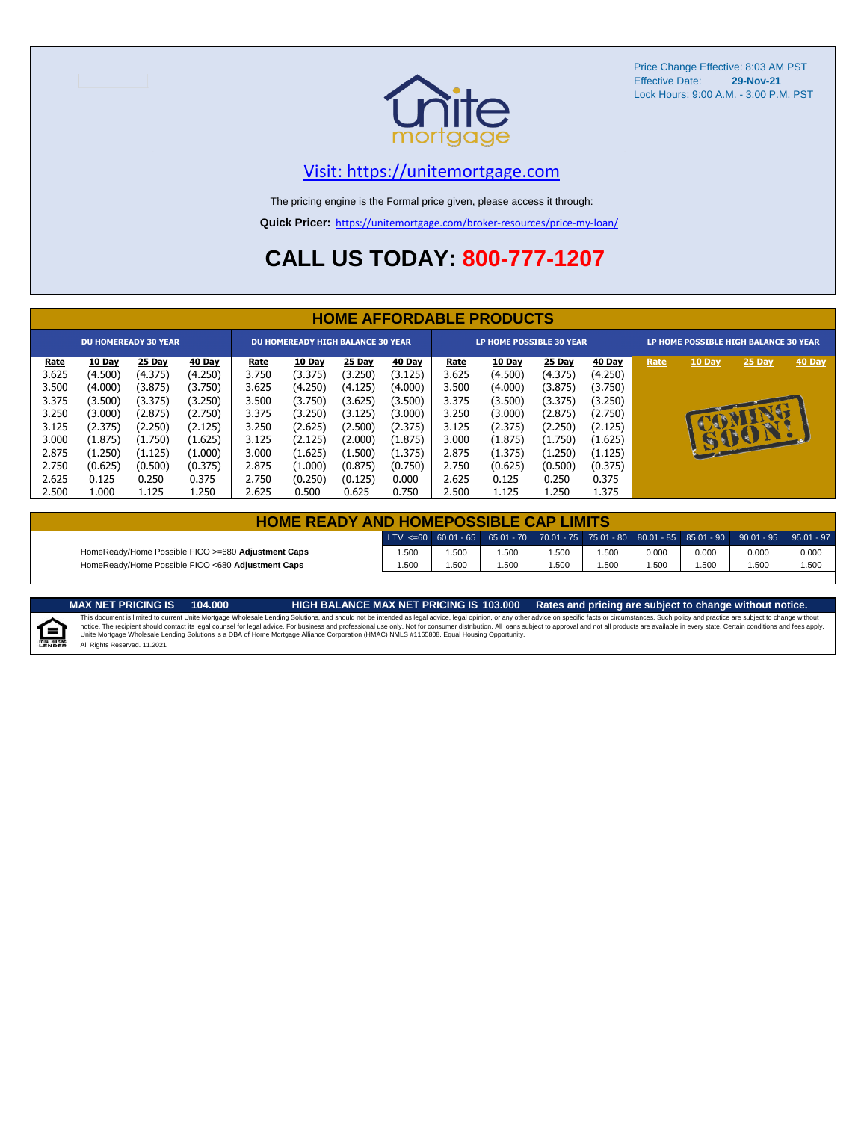

#### [V](https://unitemortgage.com/)isit: https://unitemortgage.com

The pricing engine is the Formal price given, please access it through:

**Quick Pricer:** [https://un](https://unitemortgage.com/broker-resources/price-my-loan/)itemortgage.com/broker-resources/price-my-loan/

### **CALL US TODAY: 800-777-1207**

|             | <b>HOME AFFORDABLE PRODUCTS</b> |         |         |             |                                          |         |         |             |                                 |         |         |      |                                       |          |        |  |
|-------------|---------------------------------|---------|---------|-------------|------------------------------------------|---------|---------|-------------|---------------------------------|---------|---------|------|---------------------------------------|----------|--------|--|
|             | <b>DU HOMEREADY 30 YEAR</b>     |         |         |             | <b>DU HOMEREADY HIGH BALANCE 30 YEAR</b> |         |         |             | <b>LP HOME POSSIBLE 30 YEAR</b> |         |         |      | LP HOME POSSIBLE HIGH BALANCE 30 YEAR |          |        |  |
| <u>Rate</u> | 10 Day                          | 25 Day  | 40 Day  | <b>Rate</b> | 10 Day                                   | 25 Day  | 40 Day  | <u>Rate</u> | 10 Day                          | 25 Day  | 40 Day  | Rate | 10 Day                                | 25 Day   | 40 Day |  |
| 3.625       | (4.500)                         | (4.375) | (4.250) | 3.750       | (3.375)                                  | (3.250) | (3.125) | 3.625       | (4.500)                         | (4.375) | (4.250) |      |                                       |          |        |  |
| 3.500       | (4.000)                         | (3.875) | (3.750) | 3.625       | (4.250)                                  | (4.125) | (4.000) | 3.500       | (4.000)                         | (3.875) | (3.750) |      |                                       |          |        |  |
| 3.375       | (3.500)                         | (3.375) | (3.250) | 3.500       | (3.750)                                  | (3.625) | (3.500) | 3.375       | (3.500)                         | (3.375) | (3.250) |      |                                       |          |        |  |
| 3.250       | (3.000)                         | (2.875) | (2.750) | 3.375       | (3.250)                                  | (3.125) | (3.000) | 3.250       | (3.000)                         | (2.875) | (2.750) |      |                                       | <b>D</b> |        |  |
| 3.125       | (2.375)                         | (2.250) | (2.125) | 3.250       | (2.625)                                  | (2.500) | (2.375) | 3.125       | (2.375)                         | (2.250) | (2.125) |      |                                       |          |        |  |
| 3.000       | (1.875)                         | (1.750) | (1.625) | 3.125       | (2.125)                                  | (2.000) | (1.875) | 3.000       | (1.875)                         | (1.750) | (1.625) |      | $\mathbf{u}$                          | OOI      |        |  |
| 2.875       | (1.250)                         | (1.125) | (1.000) | 3.000       | (1.625)                                  | (1.500) | (1.375) | 2.875       | (1.375)                         | (1.250) | (1.125) |      |                                       |          |        |  |
| 2.750       | (0.625)                         | (0.500) | (0.375) | 2.875       | (1.000)                                  | (0.875) | (0.750) | 2.750       | (0.625)                         | (0.500) | (0.375) |      |                                       |          |        |  |
| 2.625       | 0.125                           | 0.250   | 0.375   | 2.750       | (0.250)                                  | (0.125) | 0.000   | 2.625       | 0.125                           | 0.250   | 0.375   |      |                                       |          |        |  |
| 2.500       | 1.000                           | 1.125   | 1.250   | 2.625       | 0.500                                    | 0.625   | 0.750   | 2.500       | 1.125                           | 1.250   | 1.375   |      |                                       |          |        |  |

| <b>HOME READY AND HOMEPOSSIBLE CAP LIMITS</b>      |      |      |      |       |       |       |       |                                                                                                                                                                        |       |  |  |
|----------------------------------------------------|------|------|------|-------|-------|-------|-------|------------------------------------------------------------------------------------------------------------------------------------------------------------------------|-------|--|--|
|                                                    |      |      |      |       |       |       |       | $\mid$ LTV <=60 $\mid$ 60.01 - 65 $\mid$ 65.01 - 70 $\mid$ 70.01 - 75 $\mid$ 75.01 - 80 $\mid$ 80.01 - 85 $\mid$ 85.01 - 90 $\mid$ 90.01 - 95 $\mid$ 95.01 - 97 $\mid$ |       |  |  |
| HomeReady/Home Possible FICO >=680 Adjustment Caps | .500 | .500 | .500 | .500  | 1.500 | 0.000 | 0.000 | 0.000                                                                                                                                                                  | 0.000 |  |  |
| HomeReady/Home Possible FICO <680 Adjustment Caps  | .500 | .500 | .500 | 500،، | i.500 | .500  | .500  | .500                                                                                                                                                                   | 1.500 |  |  |

MAX NET PRICING IS 103.000 Rates and pricing are subject to change without notice.<br>This document is limited to current Unite Mortgage Wholesale Lending Solutions, and should not be intended as legal advice, legal opinion,

E

All Rights Reserved. 11.2021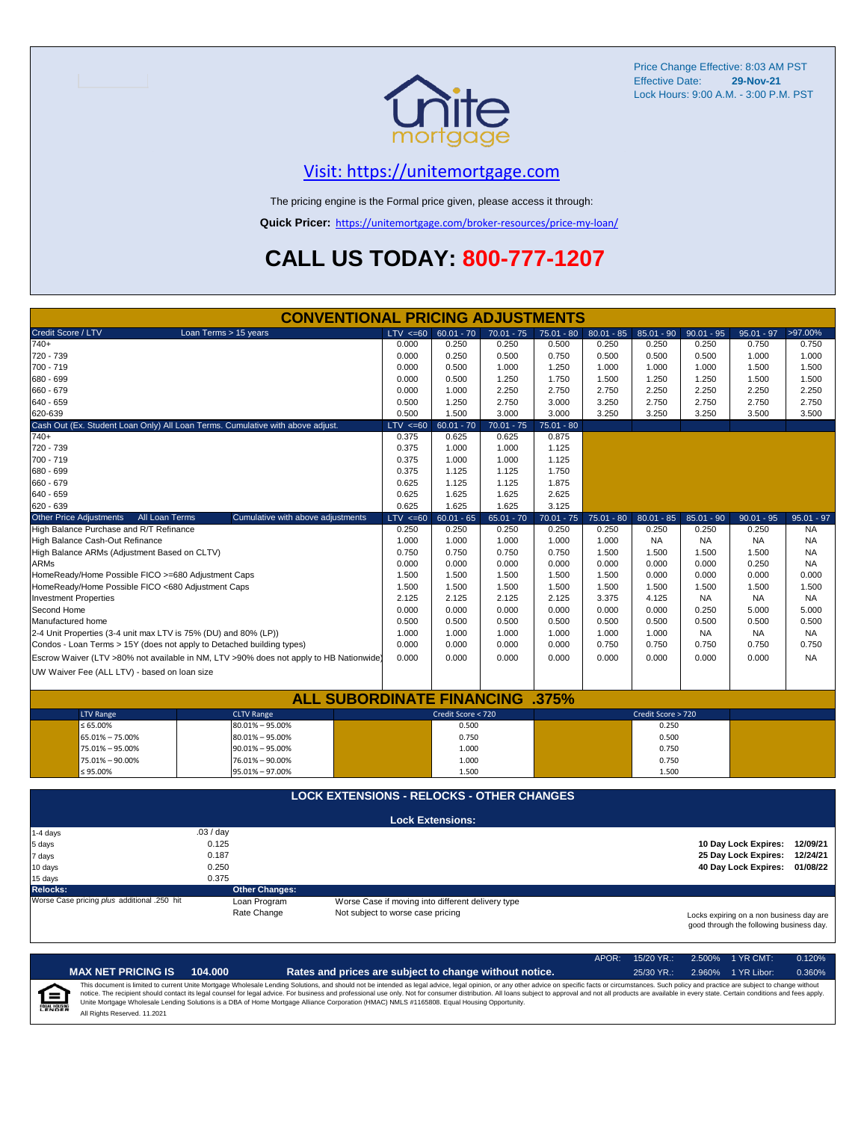

#### [V](https://unitemortgage.com/)isit: https://unitemortgage.com

The pricing engine is the Formal price given, please access it through:

**Quick Pricer:** [https://un](https://unitemortgage.com/broker-resources/price-my-loan/)itemortgage.com/broker-resources/price-my-loan/

## **CALL US TODAY: 800-777-1207**

|                                                                                | <b>CONVENTIONAL PRICING ADJUSTMENTS</b>                                                |                                   |                                                   |              |              |              |                    |              |                                                                                      |              |
|--------------------------------------------------------------------------------|----------------------------------------------------------------------------------------|-----------------------------------|---------------------------------------------------|--------------|--------------|--------------|--------------------|--------------|--------------------------------------------------------------------------------------|--------------|
| Credit Score / LTV                                                             | Loan Terms > 15 years                                                                  | $LTV \le 60$                      | $60.01 - 70$                                      | $70.01 - 75$ | $75.01 - 80$ | $80.01 - 85$ | $85.01 - 90$       | $90.01 - 95$ | $95.01 - 97$                                                                         | >97.00%      |
| $740+$                                                                         |                                                                                        | 0.000                             | 0.250                                             | 0.250        | 0.500        | 0.250        | 0.250              | 0.250        | 0.750                                                                                | 0.750        |
| 720 - 739                                                                      |                                                                                        | 0.000                             | 0.250                                             | 0.500        | 0.750        | 0.500        | 0.500              | 0.500        | 1.000                                                                                | 1.000        |
| 700 - 719                                                                      |                                                                                        | 0.000                             | 0.500                                             | 1.000        | 1.250        | 1.000        | 1.000              | 1.000        | 1.500                                                                                | 1.500        |
| 680 - 699                                                                      |                                                                                        | 0.000                             | 0.500                                             | 1.250        | 1.750        | 1.500        | 1.250              | 1.250        | 1.500                                                                                | 1.500        |
| 660 - 679                                                                      |                                                                                        | 0.000                             | 1.000                                             | 2.250        | 2.750        | 2.750        | 2.250              | 2.250        | 2.250                                                                                | 2.250        |
| 640 - 659                                                                      |                                                                                        | 0.500                             | 1.250                                             | 2.750        | 3.000        | 3.250        | 2.750              | 2.750        | 2.750                                                                                | 2.750        |
| 620-639                                                                        |                                                                                        | 0.500                             | 1.500                                             | 3.000        | 3.000        | 3.250        | 3.250              | 3.250        | 3.500                                                                                | 3.500        |
| Cash Out (Ex. Student Loan Only) All Loan Terms. Cumulative with above adjust. |                                                                                        | $LTV < =60$                       | $60.01 - 70$                                      | $70.01 - 75$ | $75.01 - 80$ |              |                    |              |                                                                                      |              |
| $740+$                                                                         |                                                                                        | 0.375                             | 0.625                                             | 0.625        | 0.875        |              |                    |              |                                                                                      |              |
| 720 - 739                                                                      |                                                                                        | 0.375                             | 1.000                                             | 1.000        | 1.125        |              |                    |              |                                                                                      |              |
| 700 - 719                                                                      |                                                                                        | 0.375                             | 1.000                                             | 1.000        | 1.125        |              |                    |              |                                                                                      |              |
| 680 - 699                                                                      |                                                                                        | 0.375                             | 1.125                                             | 1.125        | 1.750        |              |                    |              |                                                                                      |              |
| 660 - 679                                                                      |                                                                                        | 0.625                             | 1.125                                             | 1.125        | 1.875        |              |                    |              |                                                                                      |              |
| 640 - 659                                                                      |                                                                                        | 0.625                             | 1.625                                             | 1.625        | 2.625        |              |                    |              |                                                                                      |              |
| 620 - 639                                                                      |                                                                                        | 0.625                             | 1.625                                             | 1.625        | 3.125        |              |                    |              |                                                                                      |              |
| <b>Other Price Adjustments</b><br>All Loan Terms                               | Cumulative with above adjustments                                                      | $LTV < =60$                       | $60.01 - 65$                                      | $65.01 - 70$ | $70.01 - 75$ | $75.01 - 80$ | $80.01 - 85$       | $85.01 - 90$ | $90.01 - 95$                                                                         | $95.01 - 97$ |
| High Balance Purchase and R/T Refinance                                        |                                                                                        | 0.250                             | 0.250                                             | 0.250        | 0.250        | 0.250        | 0.250              | 0.250        | 0.250                                                                                | <b>NA</b>    |
| High Balance Cash-Out Refinance                                                |                                                                                        | 1.000                             | 1.000                                             | 1.000        | 1.000        | 1.000        | <b>NA</b>          | <b>NA</b>    | <b>NA</b>                                                                            | <b>NA</b>    |
| High Balance ARMs (Adjustment Based on CLTV)                                   |                                                                                        | 0.750                             | 0.750                                             | 0.750        | 0.750        | 1.500        | 1.500              | 1.500        | 1.500                                                                                | <b>NA</b>    |
| <b>ARMs</b>                                                                    |                                                                                        | 0.000                             | 0.000                                             | 0.000        | 0.000        | 0.000        | 0.000              | 0.000        | 0.250                                                                                | <b>NA</b>    |
| HomeReady/Home Possible FICO >=680 Adjustment Caps                             |                                                                                        | 1.500                             | 1.500                                             | 1.500        | 1.500        | 1.500        | 0.000              | 0.000        | 0.000                                                                                | 0.000        |
| HomeReady/Home Possible FICO <680 Adjustment Caps                              |                                                                                        | 1.500                             | 1.500                                             | 1.500        | 1.500        | 1.500        | 1.500              | 1.500        | 1.500                                                                                | 1.500        |
| <b>Investment Properties</b>                                                   |                                                                                        | 2.125                             | 2.125                                             | 2.125        | 2.125        | 3.375        | 4.125              | <b>NA</b>    | <b>NA</b>                                                                            | <b>NA</b>    |
| Second Home                                                                    |                                                                                        | 0.000                             | 0.000                                             | 0.000        | 0.000        | 0.000        | 0.000              | 0.250        | 5.000                                                                                | 5.000        |
| Manufactured home                                                              |                                                                                        | 0.500                             | 0.500                                             | 0.500        | 0.500        | 0.500        | 0.500              | 0.500        | 0.500                                                                                | 0.500        |
| 2-4 Unit Properties (3-4 unit max LTV is 75% (DU) and 80% (LP))                |                                                                                        | 1.000                             | 1.000                                             | 1.000        | 1.000        | 1.000        | 1.000              | <b>NA</b>    | <b>NA</b>                                                                            | <b>NA</b>    |
| Condos - Loan Terms > 15Y (does not apply to Detached building types)          |                                                                                        | 0.000                             | 0.000                                             | 0.000        | 0.000        | 0.750        | 0.750              | 0.750        | 0.750                                                                                | 0.750        |
|                                                                                | Escrow Waiver (LTV >80% not available in NM, LTV >90% does not apply to HB Nationwide) | 0.000                             | 0.000                                             | 0.000        | 0.000        | 0.000        | 0.000              | 0.000        | 0.000                                                                                | <b>NA</b>    |
| UW Waiver Fee (ALL LTV) - based on loan size                                   |                                                                                        |                                   |                                                   |              |              |              |                    |              |                                                                                      |              |
|                                                                                |                                                                                        |                                   |                                                   |              |              |              |                    |              |                                                                                      |              |
|                                                                                | <b>ALL SUBORDINATE FINANCING</b>                                                       |                                   |                                                   |              | .375%        |              |                    |              |                                                                                      |              |
| <b>LTV Range</b>                                                               | <b>CLTV Range</b>                                                                      |                                   | Credit Score < 720                                |              |              |              | Credit Score > 720 |              |                                                                                      |              |
| $\leq 65.00\%$                                                                 | $80.01\% - 95.00\%$                                                                    |                                   | 0.500                                             |              |              |              | 0.250              |              |                                                                                      |              |
| 65.01% - 75.00%                                                                | 80.01% - 95.00%                                                                        |                                   | 0.750                                             |              |              |              | 0.500              |              |                                                                                      |              |
| 75.01% - 95.00%                                                                | $90.01\% - 95.00\%$                                                                    |                                   | 1.000                                             |              |              |              | 0.750              |              |                                                                                      |              |
| 75.01% - 90.00%                                                                | 76.01% - 90.00%                                                                        |                                   | 1.000                                             |              |              |              | 0.750              |              |                                                                                      |              |
| $≤ 95.00\%$                                                                    | 95.01% - 97.00%                                                                        |                                   | 1.500                                             |              |              |              | 1.500              |              |                                                                                      |              |
|                                                                                |                                                                                        |                                   |                                                   |              |              |              |                    |              |                                                                                      |              |
|                                                                                | <b>LOCK EXTENSIONS - RELOCKS - OTHER CHANGES</b>                                       |                                   |                                                   |              |              |              |                    |              |                                                                                      |              |
|                                                                                |                                                                                        |                                   | <b>Lock Extensions:</b>                           |              |              |              |                    |              |                                                                                      |              |
| 1-4 days                                                                       | .03 / day                                                                              |                                   |                                                   |              |              |              |                    |              |                                                                                      |              |
| 5 days                                                                         | 0.125                                                                                  |                                   |                                                   |              |              |              |                    |              | 10 Day Lock Expires:                                                                 | 12/09/21     |
| 7 days                                                                         | 0.187                                                                                  |                                   |                                                   |              |              |              |                    |              | 25 Day Lock Expires:                                                                 | 12/24/21     |
| 10 days                                                                        | 0.250                                                                                  |                                   |                                                   |              |              |              |                    |              | 40 Day Lock Expires:                                                                 | 01/08/22     |
| 15 days                                                                        | 0.375                                                                                  |                                   |                                                   |              |              |              |                    |              |                                                                                      |              |
| <b>Relocks:</b>                                                                | <b>Other Changes:</b>                                                                  |                                   |                                                   |              |              |              |                    |              |                                                                                      |              |
| Worse Case pricing plus additional .250 hit                                    | Loan Program                                                                           |                                   | Worse Case if moving into different delivery type |              |              |              |                    |              |                                                                                      |              |
|                                                                                | Rate Change                                                                            | Not subject to worse case pricing |                                                   |              |              |              |                    |              | Locks expiring on a non business day are<br>good through the following business day. |              |